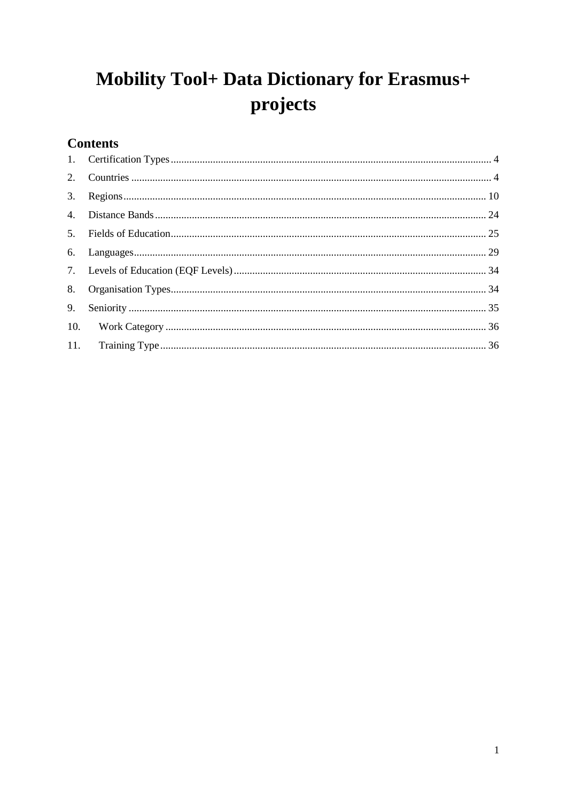# Mobility Tool+ Data Dictionary for Erasmus+ projects

## **Contents**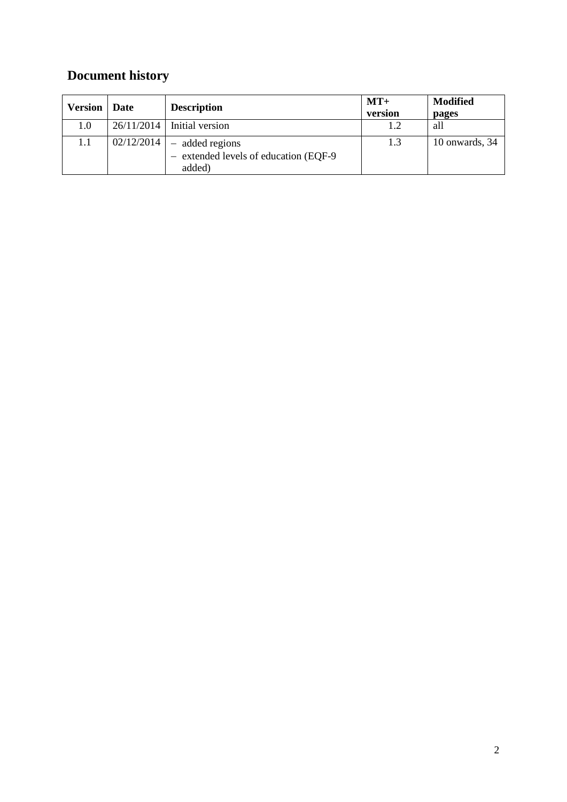# **Document history**

| <b>Version</b> | Date       | <b>Description</b>                                                  | $MT+$<br>version | <b>Modified</b><br>pages |
|----------------|------------|---------------------------------------------------------------------|------------------|--------------------------|
| 1.0            | 26/11/2014 | Initial version                                                     |                  | all                      |
| 1.1            | 02/12/2014 | - added regions<br>- extended levels of education (EQF-9)<br>added) | 1.3              | 10 onwards, 34           |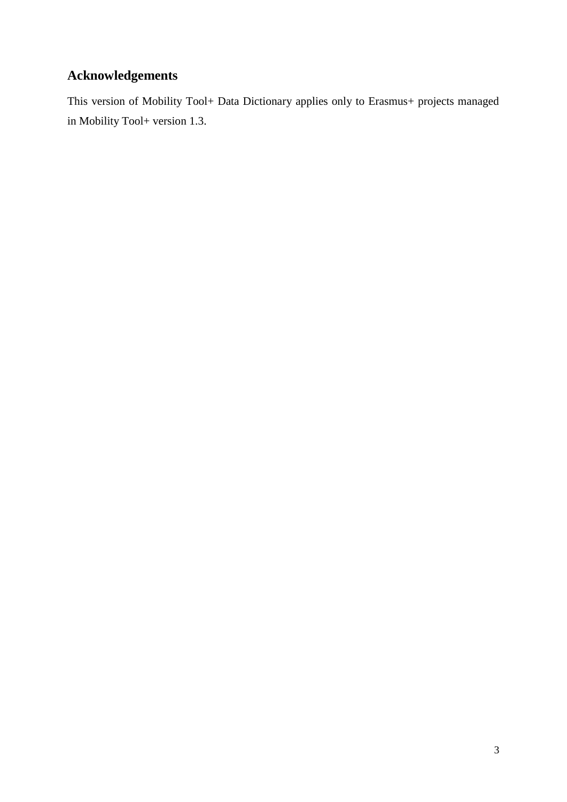### **Acknowledgements**

This version of Mobility Tool+ Data Dictionary applies only to Erasmus+ projects managed in Mobility Tool+ version 1.3.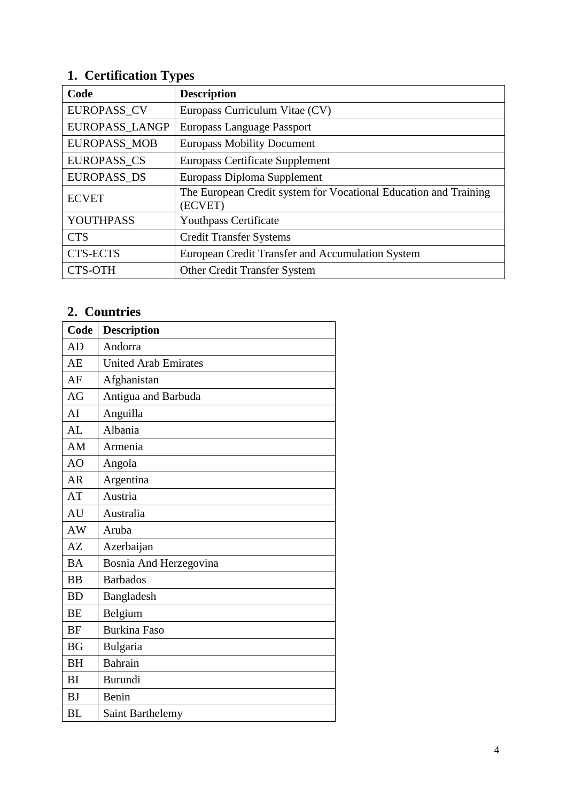#### <span id="page-3-0"></span>**1. Certification Types**

| Code                | <b>Description</b>                                                          |
|---------------------|-----------------------------------------------------------------------------|
| <b>EUROPASS CV</b>  | Europass Curriculum Vitae (CV)                                              |
| EUROPASS_LANGP      | Europass Language Passport                                                  |
| <b>EUROPASS MOB</b> | <b>Europass Mobility Document</b>                                           |
| <b>EUROPASS CS</b>  | <b>Europass Certificate Supplement</b>                                      |
| <b>EUROPASS DS</b>  | Europass Diploma Supplement                                                 |
| <b>ECVET</b>        | The European Credit system for Vocational Education and Training<br>(ECVET) |
| YOUTHPASS           | <b>Youthpass Certificate</b>                                                |
| <b>CTS</b>          | <b>Credit Transfer Systems</b>                                              |
| <b>CTS-ECTS</b>     | European Credit Transfer and Accumulation System                            |
| <b>CTS-OTH</b>      | <b>Other Credit Transfer System</b>                                         |

## <span id="page-3-1"></span>**2. Countries**

| Code      | <b>Description</b>          |  |  |
|-----------|-----------------------------|--|--|
| AD        | Andorra                     |  |  |
| AE        | <b>United Arab Emirates</b> |  |  |
| AF        | Afghanistan                 |  |  |
| AG        | Antigua and Barbuda         |  |  |
| AI        | Anguilla                    |  |  |
| AL        | Albania                     |  |  |
| AM        | Armenia                     |  |  |
| AO        | Angola                      |  |  |
| <b>AR</b> | Argentina                   |  |  |
| AT        | Austria                     |  |  |
| AU        | Australia                   |  |  |
| AW        | Aruba                       |  |  |
| AZ        | Azerbaijan                  |  |  |
| <b>BA</b> | Bosnia And Herzegovina      |  |  |
| <b>BB</b> | <b>Barbados</b>             |  |  |
| <b>BD</b> | Bangladesh                  |  |  |
| <b>BE</b> | Belgium                     |  |  |
| <b>BF</b> | <b>Burkina Faso</b>         |  |  |
| <b>BG</b> | Bulgaria                    |  |  |
| <b>BH</b> | Bahrain                     |  |  |
| <b>BI</b> | Burundi                     |  |  |
| <b>BJ</b> | Benin                       |  |  |
| <b>BL</b> | Saint Barthelemy            |  |  |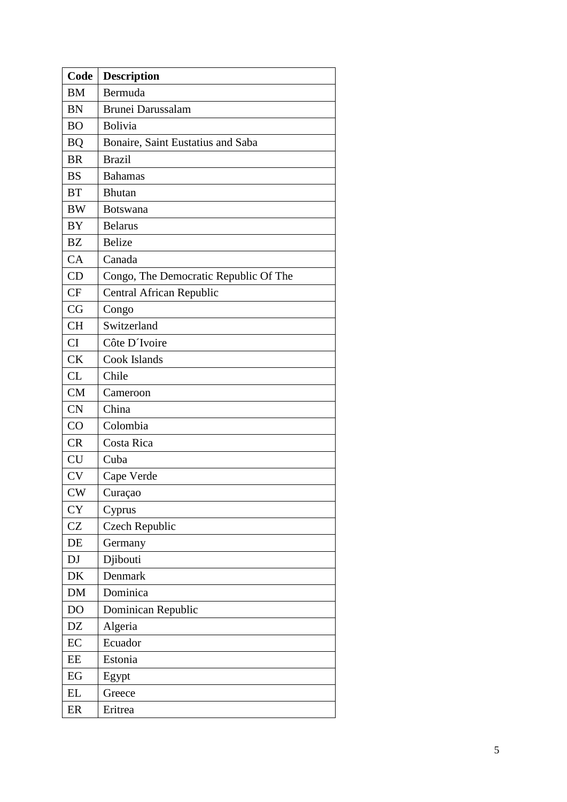| Code      | <b>Description</b>                    |
|-----------|---------------------------------------|
| <b>BM</b> | Bermuda                               |
| <b>BN</b> | Brunei Darussalam                     |
| <b>BO</b> | Bolivia                               |
| <b>BQ</b> | Bonaire, Saint Eustatius and Saba     |
| <b>BR</b> | <b>Brazil</b>                         |
| <b>BS</b> | <b>Bahamas</b>                        |
| <b>BT</b> | <b>Bhutan</b>                         |
| <b>BW</b> | <b>Botswana</b>                       |
| BY        | <b>Belarus</b>                        |
| <b>BZ</b> | <b>Belize</b>                         |
| CA        | Canada                                |
| CD        | Congo, The Democratic Republic Of The |
| <b>CF</b> | <b>Central African Republic</b>       |
| CG        | Congo                                 |
| <b>CH</b> | Switzerland                           |
| CI        | Côte D'Ivoire                         |
| <b>CK</b> | Cook Islands                          |
| <b>CL</b> | Chile                                 |
| CM        | Cameroon                              |
| <b>CN</b> | China                                 |
| CO        | Colombia                              |
| <b>CR</b> | Costa Rica                            |
| <b>CU</b> | Cuba                                  |
| <b>CV</b> | Cape Verde                            |
| CW        | Curaçao                               |
| <b>CY</b> | Cyprus                                |
| <b>CZ</b> | Czech Republic                        |
| DE        | Germany                               |
| <b>DJ</b> | Djibouti                              |
| DK        | Denmark                               |
| DM        | Dominica                              |
| DO        | Dominican Republic                    |
| DZ        | Algeria                               |
| EC        | Ecuador                               |
| EE        | Estonia                               |
| EG        | Egypt                                 |
| EL        | Greece                                |
| ER        | Eritrea                               |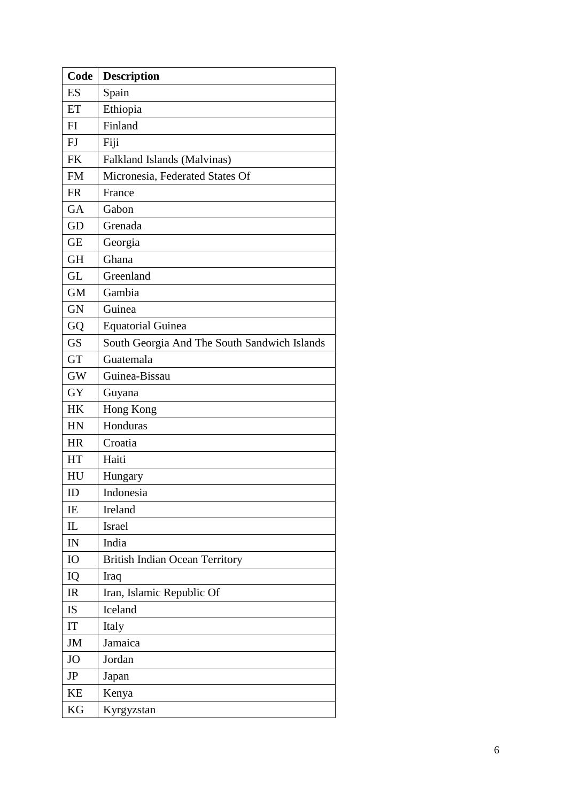| Code      | Description                                  |
|-----------|----------------------------------------------|
| ES        | Spain                                        |
| ET        | Ethiopia                                     |
| FI        | Finland                                      |
| FJ        | Fiji                                         |
| <b>FK</b> | Falkland Islands (Malvinas)                  |
| <b>FM</b> | Micronesia, Federated States Of              |
| <b>FR</b> | France                                       |
| <b>GA</b> | Gabon                                        |
| GD        | Grenada                                      |
| <b>GE</b> | Georgia                                      |
| <b>GH</b> | Ghana                                        |
| <b>GL</b> | Greenland                                    |
| <b>GM</b> | Gambia                                       |
| <b>GN</b> | Guinea                                       |
| GQ        | <b>Equatorial Guinea</b>                     |
| <b>GS</b> | South Georgia And The South Sandwich Islands |
| <b>GT</b> | Guatemala                                    |
| <b>GW</b> | Guinea-Bissau                                |
| <b>GY</b> | Guyana                                       |
| HK        | Hong Kong                                    |
| <b>HN</b> | Honduras                                     |
| <b>HR</b> | Croatia                                      |
| HT        | Haiti                                        |
| HU        | Hungary                                      |
| ID        | Indonesia                                    |
| IE        | Ireland                                      |
| IL        | <b>Israel</b>                                |
| IN        | India                                        |
| IO        | <b>British Indian Ocean Territory</b>        |
| IQ        | Iraq                                         |
| IR        | Iran, Islamic Republic Of                    |
| <b>IS</b> | Iceland                                      |
| IT        | Italy                                        |
| JM        | Jamaica                                      |
| <b>JO</b> | Jordan                                       |
| JP        | Japan                                        |
| <b>KE</b> | Kenya                                        |
| KG        | Kyrgyzstan                                   |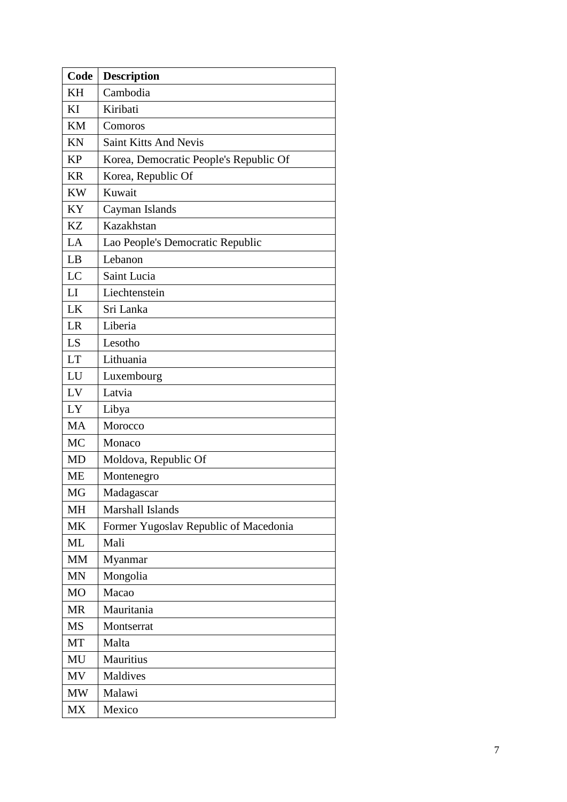| Code           | <b>Description</b>                     |  |  |
|----------------|----------------------------------------|--|--|
| <b>KH</b>      | Cambodia                               |  |  |
| KI             | Kiribati                               |  |  |
| <b>KM</b>      | Comoros                                |  |  |
| KN             | <b>Saint Kitts And Nevis</b>           |  |  |
| <b>KP</b>      | Korea, Democratic People's Republic Of |  |  |
| <b>KR</b>      | Korea, Republic Of                     |  |  |
| <b>KW</b>      | Kuwait                                 |  |  |
| KY             | Cayman Islands                         |  |  |
| <b>KZ</b>      | Kazakhstan                             |  |  |
| LA             | Lao People's Democratic Republic       |  |  |
| LB             | Lebanon                                |  |  |
| LC             | Saint Lucia                            |  |  |
| LI             | Liechtenstein                          |  |  |
| LK             | Sri Lanka                              |  |  |
| LR             | Liberia                                |  |  |
| LS             | Lesotho                                |  |  |
| <b>LT</b>      | Lithuania                              |  |  |
| LU             | Luxembourg                             |  |  |
| LV             | Latvia                                 |  |  |
| LY             | Libya                                  |  |  |
| <b>MA</b>      | Morocco                                |  |  |
| <b>MC</b>      | Monaco                                 |  |  |
| <b>MD</b>      | Moldova, Republic Of                   |  |  |
| <b>ME</b>      | Montenegro                             |  |  |
| MG             | Madagascar                             |  |  |
| <b>MH</b>      | Marshall Islands                       |  |  |
| MK             | Former Yugoslav Republic of Macedonia  |  |  |
| ML             | Mali                                   |  |  |
| <b>MM</b>      | Myanmar                                |  |  |
| <b>MN</b>      | Mongolia                               |  |  |
| M <sub>O</sub> | Macao                                  |  |  |
| <b>MR</b>      | Mauritania                             |  |  |
| <b>MS</b>      | Montserrat                             |  |  |
| MT             | Malta                                  |  |  |
| MU             | Mauritius                              |  |  |
| MV             | Maldives                               |  |  |
| <b>MW</b>      | Malawi                                 |  |  |
| <b>MX</b>      | Mexico                                 |  |  |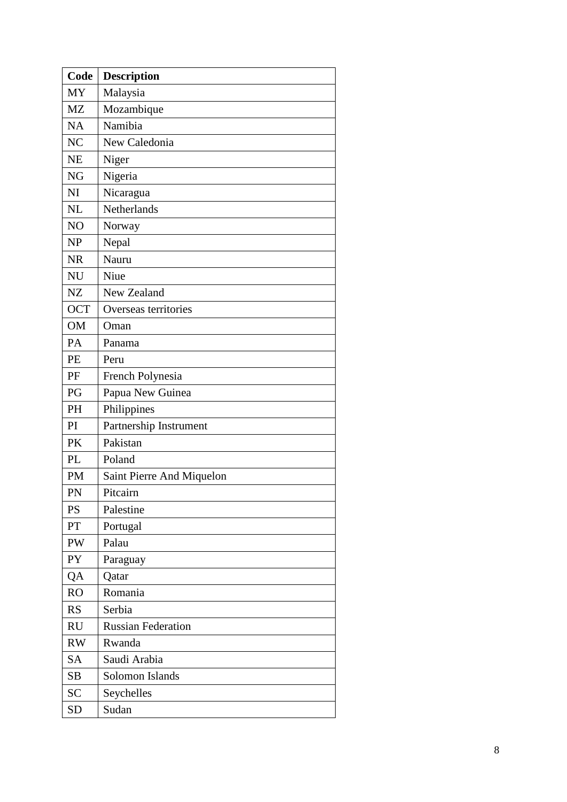| Code           | Description               |  |  |
|----------------|---------------------------|--|--|
| <b>MY</b>      | Malaysia                  |  |  |
| <b>MZ</b>      | Mozambique                |  |  |
| <b>NA</b>      | Namibia                   |  |  |
| N <sub>C</sub> | New Caledonia             |  |  |
| <b>NE</b>      | Niger                     |  |  |
| <b>NG</b>      | Nigeria                   |  |  |
| NI             | Nicaragua                 |  |  |
| <b>NL</b>      | Netherlands               |  |  |
| NO             | Norway                    |  |  |
| <b>NP</b>      | Nepal                     |  |  |
| <b>NR</b>      | Nauru                     |  |  |
| <b>NU</b>      | Niue                      |  |  |
| NZ             | New Zealand               |  |  |
| <b>OCT</b>     | Overseas territories      |  |  |
| <b>OM</b>      | Oman                      |  |  |
| PA             | Panama                    |  |  |
| PE             | Peru                      |  |  |
| PF             | French Polynesia          |  |  |
| PG             | Papua New Guinea          |  |  |
| <b>PH</b>      | Philippines               |  |  |
| PI             | Partnership Instrument    |  |  |
| PK             | Pakistan                  |  |  |
| PL             | Poland                    |  |  |
| PM             | Saint Pierre And Miquelon |  |  |
| PN             | Pitcairn                  |  |  |
| <b>PS</b>      | Palestine                 |  |  |
| PT             | Portugal                  |  |  |
| PW             | Palau                     |  |  |
| PY             | Paraguay                  |  |  |
| QA             | Qatar                     |  |  |
| R <sub>O</sub> | Romania                   |  |  |
| <b>RS</b>      | Serbia                    |  |  |
| <b>RU</b>      | <b>Russian Federation</b> |  |  |
| <b>RW</b>      | Rwanda                    |  |  |
| <b>SA</b>      | Saudi Arabia              |  |  |
| SB             | Solomon Islands           |  |  |
| <b>SC</b>      | Seychelles                |  |  |
| <b>SD</b>      | Sudan                     |  |  |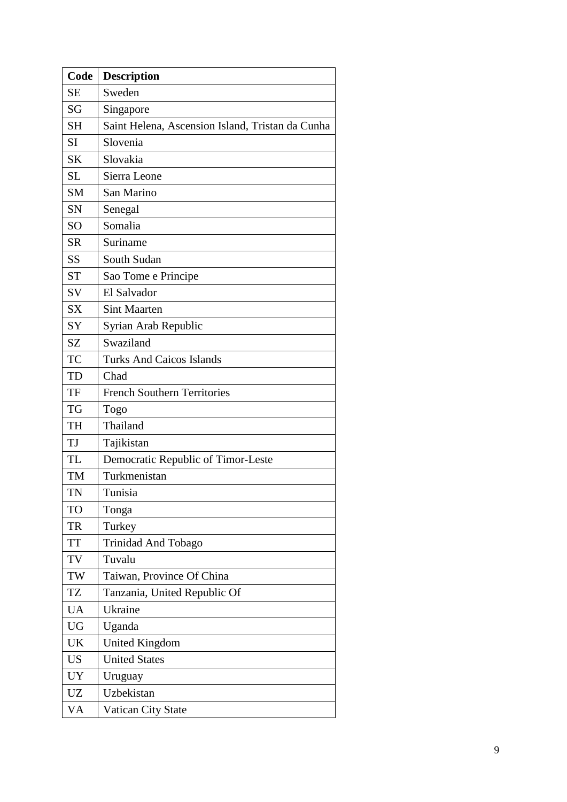| Code      | <b>Description</b>                               |  |  |
|-----------|--------------------------------------------------|--|--|
| <b>SE</b> | Sweden                                           |  |  |
| SG        | Singapore                                        |  |  |
| <b>SH</b> | Saint Helena, Ascension Island, Tristan da Cunha |  |  |
| <b>SI</b> | Slovenia                                         |  |  |
| <b>SK</b> | Slovakia                                         |  |  |
| <b>SL</b> | Sierra Leone                                     |  |  |
| <b>SM</b> | San Marino                                       |  |  |
| SN        | Senegal                                          |  |  |
| SO        | Somalia                                          |  |  |
| <b>SR</b> | Suriname                                         |  |  |
| SS        | South Sudan                                      |  |  |
| <b>ST</b> | Sao Tome e Principe                              |  |  |
| SV        | El Salvador                                      |  |  |
| <b>SX</b> | <b>Sint Maarten</b>                              |  |  |
| SY        | Syrian Arab Republic                             |  |  |
| <b>SZ</b> | Swaziland                                        |  |  |
| TC        | <b>Turks And Caicos Islands</b>                  |  |  |
| TD        | Chad                                             |  |  |
| TF        | <b>French Southern Territories</b>               |  |  |
| TG        | Togo                                             |  |  |
| TH        | Thailand                                         |  |  |
| TJ        | Tajikistan                                       |  |  |
| <b>TL</b> | Democratic Republic of Timor-Leste               |  |  |
| TM        | Turkmenistan                                     |  |  |
| TN        | Tunisia                                          |  |  |
| TO        | Tonga                                            |  |  |
| TR        | Turkey                                           |  |  |
| <b>TT</b> | Trinidad And Tobago                              |  |  |
| TV        | Tuvalu                                           |  |  |
| TW        | Taiwan, Province Of China                        |  |  |
| TZ        | Tanzania, United Republic Of                     |  |  |
| <b>UA</b> | Ukraine                                          |  |  |
| UG        | Uganda                                           |  |  |
| UK        | <b>United Kingdom</b>                            |  |  |
| <b>US</b> | <b>United States</b>                             |  |  |
| <b>UY</b> | Uruguay                                          |  |  |
| <b>UZ</b> | Uzbekistan                                       |  |  |
| VA        | Vatican City State                               |  |  |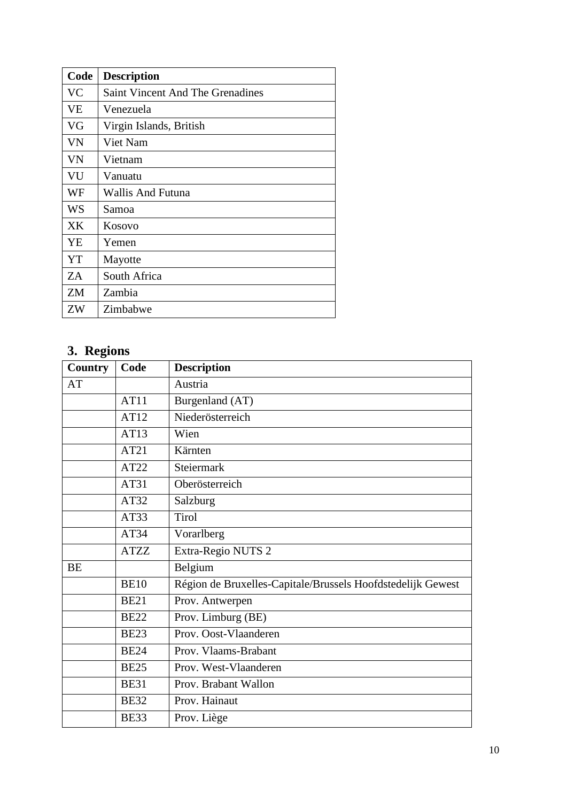| Code      | <b>Description</b>                      |
|-----------|-----------------------------------------|
| VC        | <b>Saint Vincent And The Grenadines</b> |
| <b>VE</b> | Venezuela                               |
| VG        | Virgin Islands, British                 |
| VN        | Viet Nam                                |
| VN        | Vietnam                                 |
| VU        | Vanuatu                                 |
| WF        | Wallis And Futuna                       |
| WS        | Samoa                                   |
| XK.       | Kosovo                                  |
| YE        | Yemen                                   |
| YT        | Mayotte                                 |
| ZA        | South Africa                            |
| ZM        | Zambia                                  |
| ZW        | Zimbabwe                                |

#### <span id="page-9-0"></span>**3. Regions**

| <b>a</b><br><b>Country</b> | Code        | <b>Description</b>                                          |
|----------------------------|-------------|-------------------------------------------------------------|
| AT                         |             | Austria                                                     |
|                            | AT11        | Burgenland (AT)                                             |
|                            | AT12        | Niederösterreich                                            |
|                            | AT13        | Wien                                                        |
|                            | AT21        | Kärnten                                                     |
|                            | AT22        | Steiermark                                                  |
|                            | AT31        | Oberösterreich                                              |
|                            | AT32        | Salzburg                                                    |
|                            | AT33        | <b>Tirol</b>                                                |
|                            | AT34        | Vorarlberg                                                  |
|                            | <b>ATZZ</b> | Extra-Regio NUTS 2                                          |
| <b>BE</b>                  |             | Belgium                                                     |
|                            | <b>BE10</b> | Région de Bruxelles-Capitale/Brussels Hoofdstedelijk Gewest |
|                            | <b>BE21</b> | Prov. Antwerpen                                             |
|                            | <b>BE22</b> | Prov. Limburg (BE)                                          |
|                            | <b>BE23</b> | Prov. Oost-Vlaanderen                                       |
|                            | <b>BE24</b> | Prov. Vlaams-Brabant                                        |
|                            | <b>BE25</b> | Prov. West-Vlaanderen                                       |
|                            | <b>BE31</b> | Prov. Brabant Wallon                                        |
|                            | <b>BE32</b> | Prov. Hainaut                                               |
|                            | <b>BE33</b> | Prov. Liège                                                 |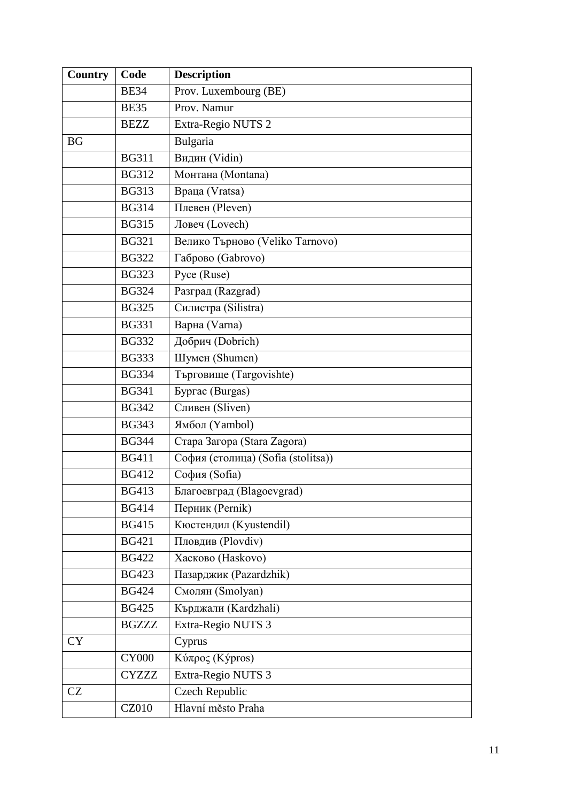| <b>Country</b> | Code         | <b>Description</b>                 |
|----------------|--------------|------------------------------------|
|                | <b>BE34</b>  | Prov. Luxembourg (BE)              |
|                | <b>BE35</b>  | Prov. Namur                        |
|                | <b>BEZZ</b>  | Extra-Regio NUTS 2                 |
| <b>BG</b>      |              | Bulgaria                           |
|                | <b>BG311</b> | Видин (Vidin)                      |
|                | <b>BG312</b> | Монтана (Montana)                  |
|                | <b>BG313</b> | Враца (Vratsa)                     |
|                | <b>BG314</b> | Плевен (Pleven)                    |
|                | <b>BG315</b> | Ловеч (Lovech)                     |
|                | <b>BG321</b> | Велико Търново (Veliko Tarnovo)    |
|                | <b>BG322</b> | Габрово (Gabrovo)                  |
|                | <b>BG323</b> | Pyce (Ruse)                        |
|                | <b>BG324</b> | Разград (Razgrad)                  |
|                | <b>BG325</b> | Силистра (Silistra)                |
|                | <b>BG331</b> | Варна (Varna)                      |
|                | <b>BG332</b> | Добрич (Dobrich)                   |
|                | <b>BG333</b> | Шумен (Shumen)                     |
|                | <b>BG334</b> | Търговище (Targovishte)            |
|                | <b>BG341</b> | <b>Бургас</b> (Burgas)             |
|                | <b>BG342</b> | Сливен (Sliven)                    |
|                | <b>BG343</b> | Ямбол (Yambol)                     |
|                | <b>BG344</b> | Crapa 3aropa (Stara Zagora)        |
|                | <b>BG411</b> | София (столица) (Sofia (stolitsa)) |
|                | <b>BG412</b> | София (Sofia)                      |
|                | <b>BG413</b> | Благоевград (Blagoevgrad)          |
|                | <b>BG414</b> | Перник (Pernik)                    |
|                | <b>BG415</b> | Кюстендил (Kyustendil)             |
|                | <b>BG421</b> | Пловдив (Plovdiv)                  |
|                | <b>BG422</b> | Хасково (Haskovo)                  |
|                | <b>BG423</b> | Пазарджик (Pazardzhik)             |
|                | <b>BG424</b> | Смолян (Smolyan)                   |
|                | <b>BG425</b> | Кърджали (Kardzhali)               |
|                | <b>BGZZZ</b> | Extra-Regio NUTS 3                 |
| <b>CY</b>      |              | Cyprus                             |
|                | <b>CY000</b> | Κύπρος (Kýpros)                    |
|                | <b>CYZZZ</b> | Extra-Regio NUTS 3                 |
| <b>CZ</b>      |              | <b>Czech Republic</b>              |
|                | CZ010        | Hlavní město Praha                 |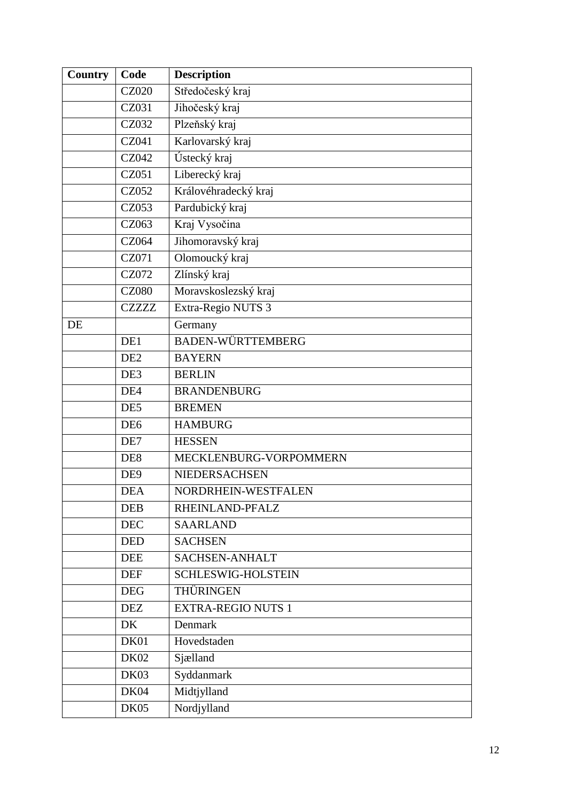| <b>Country</b> | Code            | <b>Description</b>        |
|----------------|-----------------|---------------------------|
|                | <b>CZ020</b>    | Středočeský kraj          |
|                | CZ031           | Jihočeský kraj            |
|                | CZ032           | Plzeňský kraj             |
|                | CZ041           | Karlovarský kraj          |
|                | CZ042           | Ústecký kraj              |
|                | CZ051           | Liberecký kraj            |
|                | CZ052           | Královéhradecký kraj      |
|                | CZ053           | Pardubický kraj           |
|                | CZ063           | Kraj Vysočina             |
|                | CZ064           | Jihomoravský kraj         |
|                | CZ071           | Olomoucký kraj            |
|                | CZ072           | Zlínský kraj              |
|                | <b>CZ080</b>    | Moravskoslezský kraj      |
|                | <b>CZZZZZ</b>   | Extra-Regio NUTS 3        |
| DE             |                 | Germany                   |
|                | DE1             | <b>BADEN-WÜRTTEMBERG</b>  |
|                | DE <sub>2</sub> | <b>BAYERN</b>             |
|                | DE3             | <b>BERLIN</b>             |
|                | DE4             | <b>BRANDENBURG</b>        |
|                | DE5             | <b>BREMEN</b>             |
|                | DE <sub>6</sub> | <b>HAMBURG</b>            |
|                | DE7             | <b>HESSEN</b>             |
|                | DE <sub>8</sub> | MECKLENBURG-VORPOMMERN    |
|                | DE <sub>9</sub> | NIEDERSACHSEN             |
|                | DEA             | NORDRHEIN-WESTFALEN       |
|                | <b>DEB</b>      | RHEINLAND-PFALZ           |
|                | <b>DEC</b>      | <b>SAARLAND</b>           |
|                | <b>DED</b>      | <b>SACHSEN</b>            |
|                | <b>DEE</b>      | SACHSEN-ANHALT            |
|                | <b>DEF</b>      | SCHLESWIG-HOLSTEIN        |
|                | <b>DEG</b>      | THÜRINGEN                 |
|                | <b>DEZ</b>      | <b>EXTRA-REGIO NUTS 1</b> |
|                | DK              | Denmark                   |
|                | DK01            | Hovedstaden               |
|                | <b>DK02</b>     | Sjælland                  |
|                | DK03            | Syddanmark                |
|                | DK04            | Midtjylland               |
|                | DK05            | Nordjylland               |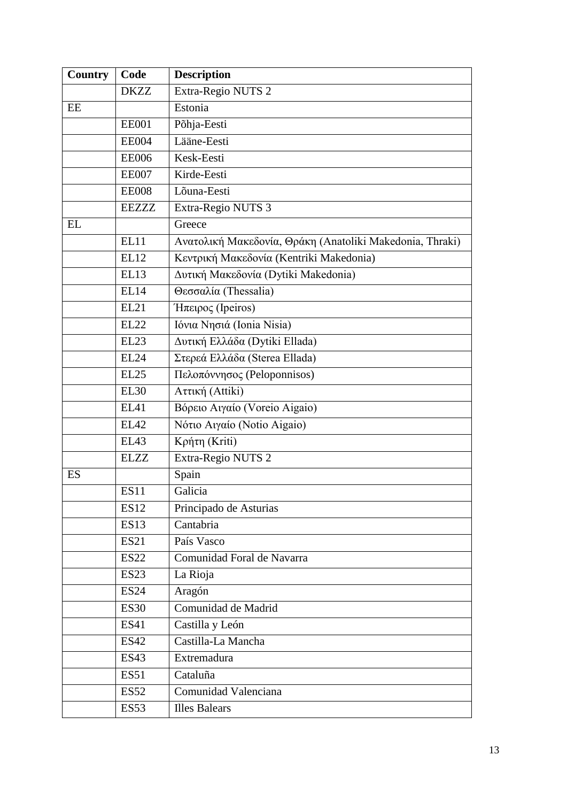| <b>Country</b> | Code             | <b>Description</b>                                       |
|----------------|------------------|----------------------------------------------------------|
|                | <b>DKZZ</b>      | Extra-Regio NUTS 2                                       |
| EE             |                  | Estonia                                                  |
|                | <b>EE001</b>     | Põhja-Eesti                                              |
|                | <b>EE004</b>     | Lääne-Eesti                                              |
|                | <b>EE006</b>     | Kesk-Eesti                                               |
|                | <b>EE007</b>     | Kirde-Eesti                                              |
|                | <b>EE008</b>     | Lõuna-Eesti                                              |
|                | <b>EEZZZ</b>     | Extra-Regio NUTS 3                                       |
| EL             |                  | Greece                                                   |
|                | EL11             | Ανατολική Μακεδονία, Θράκη (Anatoliki Makedonia, Thraki) |
|                | EL12             | Κεντρική Μακεδονία (Kentriki Makedonia)                  |
|                | EL13             | Δυτική Μακεδονία (Dytiki Makedonia)                      |
|                | <b>EL14</b>      | Θεσσαλία (Thessalia)                                     |
|                | EL21             | $H$ πειρος (Ipeiros)                                     |
|                | <b>EL22</b>      | Ιόνια Νησιά (Ionia Nisia)                                |
|                | EL <sub>23</sub> | Δυτική Ελλάδα (Dytiki Ellada)                            |
|                | <b>EL24</b>      | Στερεά Ελλάδα (Sterea Ellada)                            |
|                | EL25             | Πελοπόννησος (Peloponnisos)                              |
|                | <b>EL30</b>      | Αττική (Attiki)                                          |
|                | EL41             | Βόρειο Αιγαίο (Voreio Aigaio)                            |
|                | EL42             | Νότιο Αιγαίο (Notio Aigaio)                              |
|                | EL43             | Κρήτη (Kriti)                                            |
|                | <b>ELZZ</b>      | Extra-Regio NUTS 2                                       |
| <b>ES</b>      |                  | Spain                                                    |
|                | ES11             | Galicia                                                  |
|                | <b>ES12</b>      | Principado de Asturias                                   |
|                | <b>ES13</b>      | Cantabria                                                |
|                | <b>ES21</b>      | País Vasco                                               |
|                | <b>ES22</b>      | Comunidad Foral de Navarra                               |
|                | <b>ES23</b>      | La Rioja                                                 |
|                | <b>ES24</b>      | Aragón                                                   |
|                | <b>ES30</b>      | Comunidad de Madrid                                      |
|                | <b>ES41</b>      | Castilla y León                                          |
|                | <b>ES42</b>      | Castilla-La Mancha                                       |
|                | <b>ES43</b>      | Extremadura                                              |
|                | <b>ES51</b>      | Cataluña                                                 |
|                | <b>ES52</b>      | Comunidad Valenciana                                     |
|                | <b>ES53</b>      | <b>Illes Balears</b>                                     |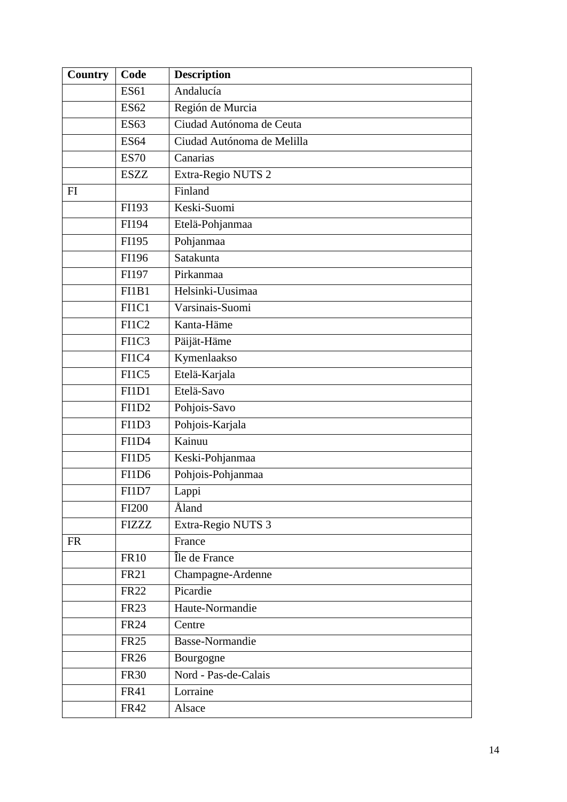| Country   | Code              | <b>Description</b>         |
|-----------|-------------------|----------------------------|
|           | <b>ES61</b>       | Andalucía                  |
|           | <b>ES62</b>       | Región de Murcia           |
|           | <b>ES63</b>       | Ciudad Autónoma de Ceuta   |
|           | <b>ES64</b>       | Ciudad Autónoma de Melilla |
|           | <b>ES70</b>       | Canarias                   |
|           | <b>ESZZ</b>       | Extra-Regio NUTS 2         |
| FI        |                   | Finland                    |
|           | FI193             | Keski-Suomi                |
|           | FI194             | Etelä-Pohjanmaa            |
|           | FI195             | Pohjanmaa                  |
|           | FI196             | Satakunta                  |
|           | FI197             | Pirkanmaa                  |
|           | FI1B1             | Helsinki-Uusimaa           |
|           | FI1C1             | Varsinais-Suomi            |
|           | FI1C <sub>2</sub> | Kanta-Häme                 |
|           | FI1C3             | Päijät-Häme                |
|           | FI1C4             | Kymenlaakso                |
|           | FI1C5             | Etelä-Karjala              |
|           | FI1D1             | Etelä-Savo                 |
|           | FI1D <sub>2</sub> | Pohjois-Savo               |
|           | FI1D3             | Pohjois-Karjala            |
|           | FI1D4             | Kainuu                     |
|           | FI1D <sub>5</sub> | Keski-Pohjanmaa            |
|           | FI1D <sub>6</sub> | Pohjois-Pohjanmaa          |
|           | FI1D7             | Lappi                      |
|           | <b>FI200</b>      | <b>Aland</b>               |
|           | FIZZZ             | Extra-Regio NUTS 3         |
| <b>FR</b> |                   | France                     |
|           | <b>FR10</b>       | Île de France              |
|           | <b>FR21</b>       | Champagne-Ardenne          |
|           | <b>FR22</b>       | Picardie                   |
|           | <b>FR23</b>       | Haute-Normandie            |
|           | <b>FR24</b>       | Centre                     |
|           | <b>FR25</b>       | <b>Basse-Normandie</b>     |
|           | <b>FR26</b>       | Bourgogne                  |
|           | <b>FR30</b>       | Nord - Pas-de-Calais       |
|           | <b>FR41</b>       | Lorraine                   |
|           | <b>FR42</b>       | Alsace                     |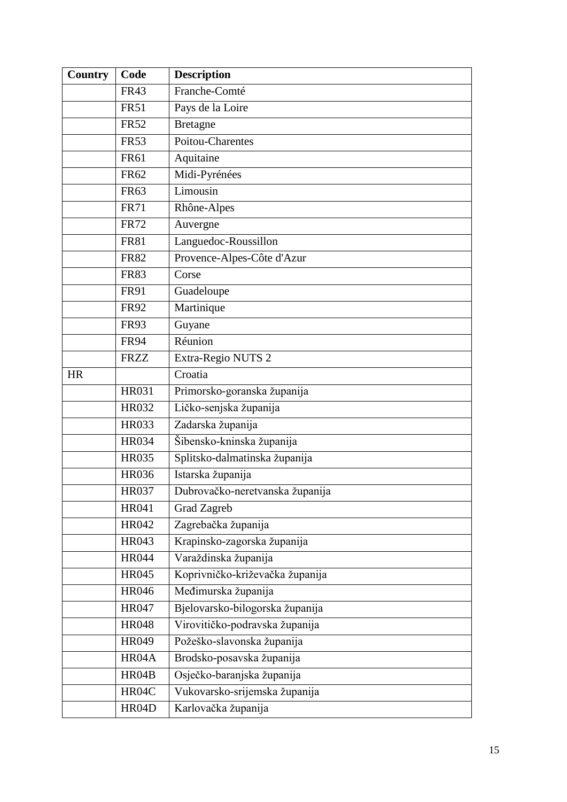| <b>Country</b> | Code         | <b>Description</b>              |
|----------------|--------------|---------------------------------|
|                | <b>FR43</b>  | Franche-Comté                   |
|                | <b>FR51</b>  | Pays de la Loire                |
|                | <b>FR52</b>  | Bretagne                        |
|                | <b>FR53</b>  | <b>Poitou-Charentes</b>         |
|                | <b>FR61</b>  | Aquitaine                       |
|                | FR62         | Midi-Pyrénées                   |
|                | <b>FR63</b>  | Limousin                        |
|                | <b>FR71</b>  | Rhône-Alpes                     |
|                | <b>FR72</b>  | Auvergne                        |
|                | <b>FR81</b>  | Languedoc-Roussillon            |
|                | <b>FR82</b>  | Provence-Alpes-Côte d'Azur      |
|                | <b>FR83</b>  | Corse                           |
|                | <b>FR91</b>  | Guadeloupe                      |
|                | <b>FR92</b>  | Martinique                      |
|                | <b>FR93</b>  | Guyane                          |
|                | <b>FR94</b>  | Réunion                         |
|                | <b>FRZZ</b>  | Extra-Regio NUTS 2              |
| <b>HR</b>      |              | Croatia                         |
|                | HR031        | Primorsko-goranska županija     |
|                | HR032        | Ličko-senjska županija          |
|                | <b>HR033</b> | Zadarska županija               |
|                | <b>HR034</b> | Šibensko-kninska županija       |
|                | <b>HR035</b> | Splitsko-dalmatinska županija   |
|                | <b>HR036</b> | Istarska županija               |
|                | <b>HR037</b> | Dubrovačko-neretvanska županija |
|                | HR041        | Grad Zagreb                     |
|                | HR042        | Zagrebačka županija             |
|                | HR043        | Krapinsko-zagorska županija     |
|                | <b>HR044</b> | Varaždinska županija            |
|                | HR045        | Koprivničko-križevačka županija |
|                | <b>HR046</b> | Međimurska županija             |
|                | HR047        | Bjelovarsko-bilogorska županija |
|                | <b>HR048</b> | Virovitičko-podravska županija  |
|                | HR049        | Požeško-slavonska županija      |
|                | HR04A        | Brodsko-posavska županija       |
|                | HR04B        | Osječko-baranjska županija      |
|                | HR04C        | Vukovarsko-srijemska županija   |
|                | HR04D        | Karlovačka županija             |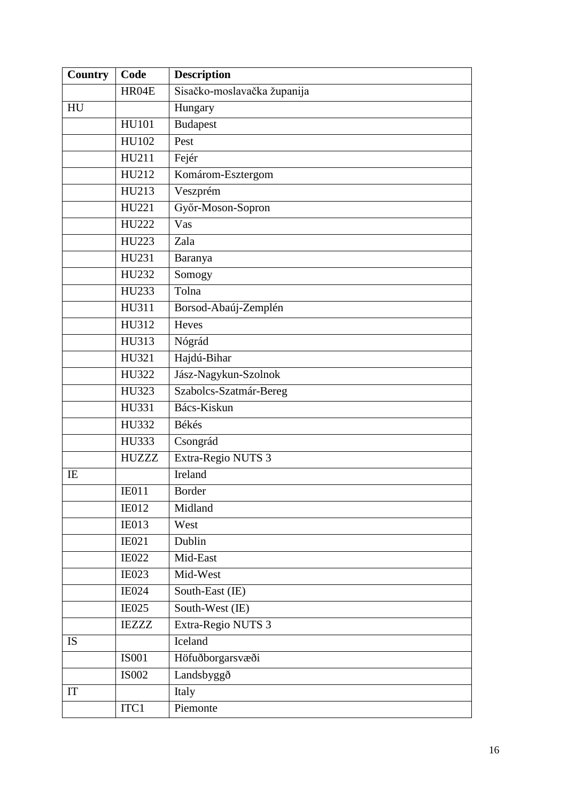| <b>Country</b> | Code         | <b>Description</b>          |
|----------------|--------------|-----------------------------|
|                | HR04E        | Sisačko-moslavačka županija |
| HU             |              | Hungary                     |
|                | <b>HU101</b> | <b>Budapest</b>             |
|                | HU102        | Pest                        |
|                | HU211        | Fejér                       |
|                | HU212        | Komárom-Esztergom           |
|                | HU213        | Veszprém                    |
|                | HU221        | Győr-Moson-Sopron           |
|                | HU222        | Vas                         |
|                | HU223        | Zala                        |
|                | HU231        | Baranya                     |
|                | HU232        | Somogy                      |
|                | HU233        | Tolna                       |
|                | HU311        | Borsod-Abaúj-Zemplén        |
|                | HU312        | Heves                       |
|                | HU313        | Nógrád                      |
|                | HU321        | Hajdú-Bihar                 |
|                | HU322        | Jász-Nagykun-Szolnok        |
|                | HU323        | Szabolcs-Szatmár-Bereg      |
|                | HU331        | Bács-Kiskun                 |
|                | HU332        | Békés                       |
|                | HU333        | Csongrád                    |
|                | <b>HUZZZ</b> | Extra-Regio NUTS 3          |
| IE             |              | Ireland                     |
|                | <b>IE011</b> | Border                      |
|                | IE012        | Midland                     |
|                | <b>IE013</b> | West                        |
|                | IE021        | Dublin                      |
|                | <b>IE022</b> | Mid-East                    |
|                | <b>IE023</b> | Mid-West                    |
|                | <b>IE024</b> | South-East (IE)             |
|                | <b>IE025</b> | South-West (IE)             |
|                | <b>IEZZZ</b> | Extra-Regio NUTS 3          |
| IS             |              | Iceland                     |
|                | <b>IS001</b> | Höfuðborgarsvæði            |
|                | <b>IS002</b> | Landsbyggð                  |
| IT             |              | Italy                       |
|                | ITC1         | Piemonte                    |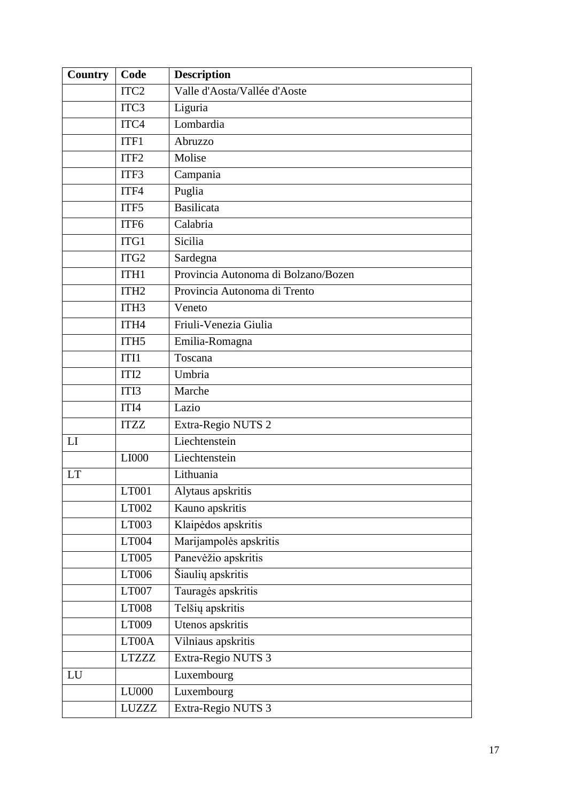| <b>Country</b> | Code              | <b>Description</b>                  |
|----------------|-------------------|-------------------------------------|
|                | ITC <sub>2</sub>  | Valle d'Aosta/Vallée d'Aoste        |
|                | ITC <sub>3</sub>  | Liguria                             |
|                | ITC4              | Lombardia                           |
|                | ITF1              | Abruzzo                             |
|                | ITF <sub>2</sub>  | Molise                              |
|                | ITF3              | Campania                            |
|                | ITF4              | Puglia                              |
|                | ITF5              | <b>Basilicata</b>                   |
|                | ITF6              | Calabria                            |
|                | ITG1              | Sicilia                             |
|                | ITG <sub>2</sub>  | Sardegna                            |
|                | ITH1              | Provincia Autonoma di Bolzano/Bozen |
|                | ITH <sub>2</sub>  | Provincia Autonoma di Trento        |
|                | ITH <sub>3</sub>  | Veneto                              |
|                | ITH4              | Friuli-Venezia Giulia               |
|                | ITH <sub>5</sub>  | Emilia-Romagna                      |
|                | ITI1              | Toscana                             |
|                | ITI <sub>2</sub>  | Umbria                              |
|                | ITI3              | Marche                              |
|                | ITI4              | Lazio                               |
|                | <b>ITZZ</b>       | Extra-Regio NUTS 2                  |
| LI             |                   | Liechtenstein                       |
|                | LI000             | Liechtenstein                       |
| <b>LT</b>      |                   | Lithuania                           |
|                | LT <sub>001</sub> | Alytaus apskritis                   |
|                | LT002             | Kauno apskritis                     |
|                | LT003             | Klaipėdos apskritis                 |
|                | LT004             | Marijampolės apskritis              |
|                | LT005             | Panevėžio apskritis                 |
|                | LT006             | Šiaulių apskritis                   |
|                | LT007             | Tauragės apskritis                  |
|                | LT008             | Telšių apskritis                    |
|                | LT009             | Utenos apskritis                    |
|                | LT00A             | Vilniaus apskritis                  |
|                | <b>LTZZZ</b>      | Extra-Regio NUTS 3                  |
| LU             |                   | Luxembourg                          |
|                | LU000             | Luxembourg                          |
|                | LUZZZ             | Extra-Regio NUTS 3                  |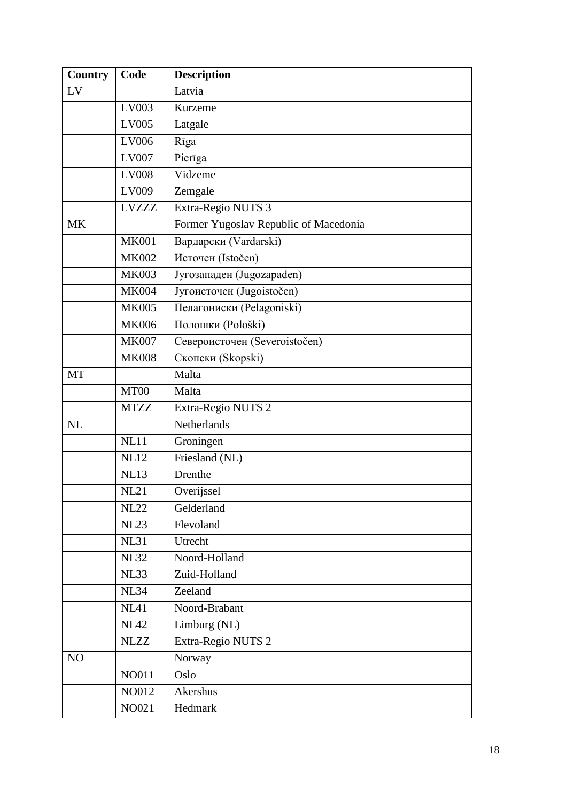| <b>Country</b> | Code         | <b>Description</b>                    |
|----------------|--------------|---------------------------------------|
| LV             |              | Latvia                                |
|                | LV003        | Kurzeme                               |
|                | LV005        | Latgale                               |
|                | LV006        | Rīga                                  |
|                | LV007        | Pierīga                               |
|                | <b>LV008</b> | Vidzeme                               |
|                | LV009        | Zemgale                               |
|                | <b>LVZZZ</b> | Extra-Regio NUTS 3                    |
| <b>MK</b>      |              | Former Yugoslav Republic of Macedonia |
|                | <b>MK001</b> | Вардарски (Vardarski)                 |
|                | <b>MK002</b> | Источен (Istočen)                     |
|                | <b>MK003</b> | Југозападен (Jugozapaden)             |
|                | <b>MK004</b> | Југоисточен (Jugoistočen)             |
|                | <b>MK005</b> | Пелагониски (Pelagoniski)             |
|                | <b>MK006</b> | Полошки (Pološki)                     |
|                | <b>MK007</b> | Североисточен (Severoistočen)         |
|                | <b>MK008</b> | Скопски (Skopski)                     |
| MT             |              | Malta                                 |
|                | MT00         | Malta                                 |
|                | <b>MTZZ</b>  | Extra-Regio NUTS 2                    |
| <b>NL</b>      |              | Netherlands                           |
|                | <b>NL11</b>  | Groningen                             |
|                | <b>NL12</b>  | Friesland (NL)                        |
|                | <b>NL13</b>  | Drenthe                               |
|                | <b>NL21</b>  | Overijssel                            |
|                | <b>NL22</b>  | Gelderland                            |
|                | <b>NL23</b>  | Flevoland                             |
|                | <b>NL31</b>  | Utrecht                               |
|                | <b>NL32</b>  | Noord-Holland                         |
|                | <b>NL33</b>  | Zuid-Holland                          |
|                | <b>NL34</b>  | Zeeland                               |
|                | NL41         | Noord-Brabant                         |
|                | <b>NL42</b>  | Limburg (NL)                          |
|                | <b>NLZZ</b>  | Extra-Regio NUTS 2                    |
| NO             |              | Norway                                |
|                | NO011        | Oslo                                  |
|                | NO012        | Akershus                              |
|                | NO021        | Hedmark                               |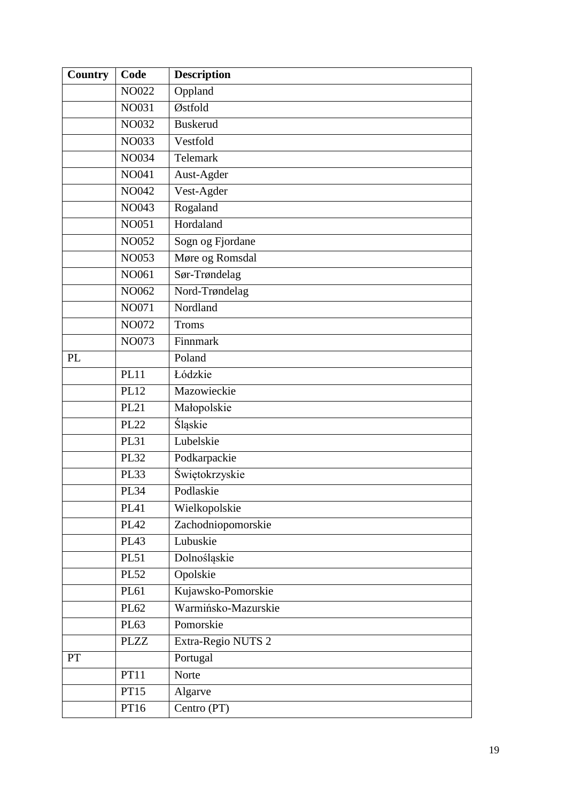| <b>Country</b> | Code         | <b>Description</b>  |
|----------------|--------------|---------------------|
|                | <b>NO022</b> | Oppland             |
|                | NO031        | Østfold             |
|                | <b>NO032</b> | <b>Buskerud</b>     |
|                | NO033        | Vestfold            |
|                | NO034        | Telemark            |
|                | NO041        | Aust-Agder          |
|                | NO042        | Vest-Agder          |
|                | NO043        | Rogaland            |
|                | NO051        | Hordaland           |
|                | NO052        | Sogn og Fjordane    |
|                | NO053        | Møre og Romsdal     |
|                | NO061        | Sør-Trøndelag       |
|                | NO062        | Nord-Trøndelag      |
|                | NO071        | Nordland            |
|                | NO072        | <b>Troms</b>        |
|                | NO073        | Finnmark            |
| PL             |              | Poland              |
|                | <b>PL11</b>  | Łódzkie             |
|                | <b>PL12</b>  | Mazowieckie         |
|                | <b>PL21</b>  | Małopolskie         |
|                | <b>PL22</b>  | Śląskie             |
|                | <b>PL31</b>  | Lubelskie           |
|                | <b>PL32</b>  | Podkarpackie        |
|                | <b>PL33</b>  | Świętokrzyskie      |
|                | <b>PL34</b>  | Podlaskie           |
|                | <b>PL41</b>  | Wielkopolskie       |
|                | <b>PL42</b>  | Zachodniopomorskie  |
|                | <b>PL43</b>  | Lubuskie            |
|                | <b>PL51</b>  | Dolnośląskie        |
|                | <b>PL52</b>  | Opolskie            |
|                | PL61         | Kujawsko-Pomorskie  |
|                | PL62         | Warmińsko-Mazurskie |
|                | PL63         | Pomorskie           |
|                | <b>PLZZ</b>  | Extra-Regio NUTS 2  |
| <b>PT</b>      |              | Portugal            |
|                | PT11         | Norte               |
|                | PT15         | Algarve             |
|                | PT16         | Centro (PT)         |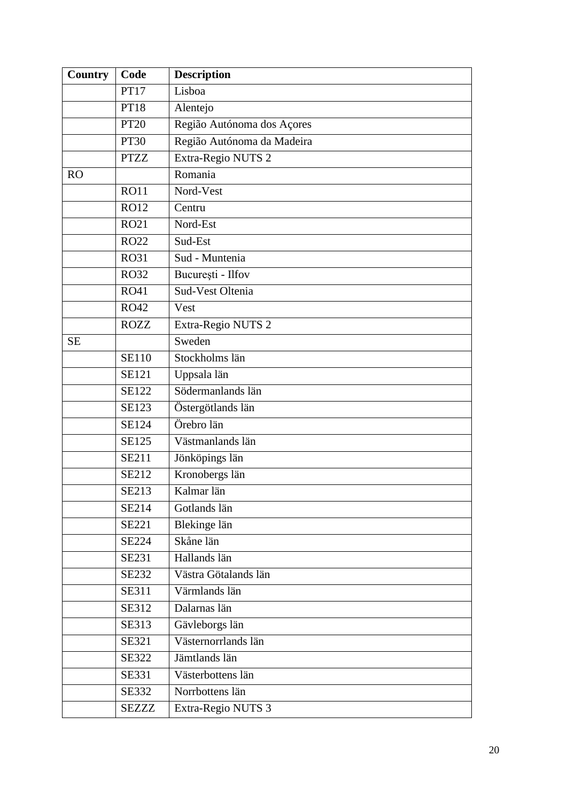| Country   | Code         | <b>Description</b>         |
|-----------|--------------|----------------------------|
|           | <b>PT17</b>  | Lisboa                     |
|           | <b>PT18</b>  | Alentejo                   |
|           | <b>PT20</b>  | Região Autónoma dos Açores |
|           | <b>PT30</b>  | Região Autónoma da Madeira |
|           | <b>PTZZ</b>  | Extra-Regio NUTS 2         |
| <b>RO</b> |              | Romania                    |
|           | <b>RO11</b>  | Nord-Vest                  |
|           | <b>RO12</b>  | Centru                     |
|           | <b>RO21</b>  | Nord-Est                   |
|           | <b>RO22</b>  | Sud-Est                    |
|           | <b>RO31</b>  | Sud - Muntenia             |
|           | <b>RO32</b>  | București - Ilfov          |
|           | <b>RO41</b>  | Sud-Vest Oltenia           |
|           | <b>RO42</b>  | Vest                       |
|           | <b>ROZZ</b>  | Extra-Regio NUTS 2         |
| <b>SE</b> |              | Sweden                     |
|           | <b>SE110</b> | Stockholms län             |
|           | <b>SE121</b> | Uppsala län                |
|           | <b>SE122</b> | Södermanlands län          |
|           | SE123        | Östergötlands län          |
|           | SE124        | Örebro län                 |
|           | SE125        | Västmanlands län           |
|           | <b>SE211</b> | Jönköpings län             |
|           | SE212        | Kronobergs län             |
|           | SE213        | Kalmar län                 |
|           | SE214        | Gotlands län               |
|           | SE221        | Blekinge län               |
|           | <b>SE224</b> | Skåne län                  |
|           | SE231        | Hallands län               |
|           | <b>SE232</b> | Västra Götalands län       |
|           | SE311        | Värmlands län              |
|           | SE312        | Dalarnas län               |
|           | SE313        | Gävleborgs län             |
|           | SE321        | Västernorrlands län        |
|           | <b>SE322</b> | Jämtlands län              |
|           | SE331        | Västerbottens län          |
|           | <b>SE332</b> | Norrbottens län            |
|           | <b>SEZZZ</b> | Extra-Regio NUTS 3         |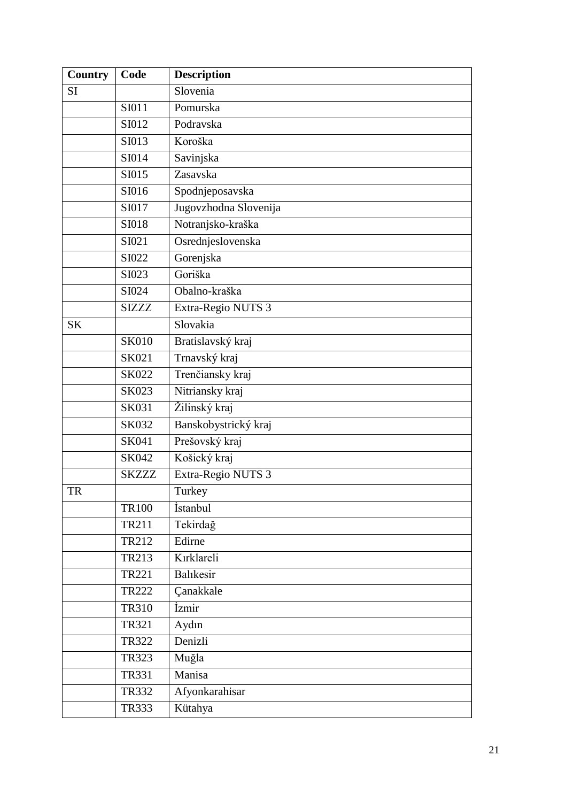| Country   | Code         | <b>Description</b>    |
|-----------|--------------|-----------------------|
| <b>SI</b> |              | Slovenia              |
|           | SI011        | Pomurska              |
|           | SI012        | Podravska             |
|           | SI013        | Koroška               |
|           | SI014        | Savinjska             |
|           | SI015        | Zasavska              |
|           | SI016        | Spodnjeposavska       |
|           | SI017        | Jugovzhodna Slovenija |
|           | <b>SI018</b> | Notranjsko-kraška     |
|           | SI021        | Osrednjeslovenska     |
|           | SI022        | Gorenjska             |
|           | SI023        | Goriška               |
|           | SI024        | Obalno-kraška         |
|           | <b>SIZZZ</b> | Extra-Regio NUTS 3    |
| <b>SK</b> |              | Slovakia              |
|           | <b>SK010</b> | Bratislavský kraj     |
|           | SK021        | Trnavský kraj         |
|           | SK022        | Trenčiansky kraj      |
|           | SK023        | Nitriansky kraj       |
|           | SK031        | Žilinský kraj         |
|           | SK032        | Banskobystrický kraj  |
|           | SK041        | Prešovský kraj        |
|           | SK042        | Košický kraj          |
|           | <b>SKZZZ</b> | Extra-Regio NUTS 3    |
| <b>TR</b> |              | Turkey                |
|           | <b>TR100</b> | İstanbul              |
|           | TR211        | Tekirdağ              |
|           | TR212        | Edirne                |
|           | TR213        | Kırklareli            |
|           | TR221        | Balıkesir             |
|           | <b>TR222</b> | Çanakkale             |
|           | <b>TR310</b> | İzmir                 |
|           | TR321        | Aydın                 |
|           | <b>TR322</b> | Denizli               |
|           | <b>TR323</b> | Muğla                 |
|           | <b>TR331</b> | Manisa                |
|           | <b>TR332</b> | Afyonkarahisar        |
|           | <b>TR333</b> | Kütahya               |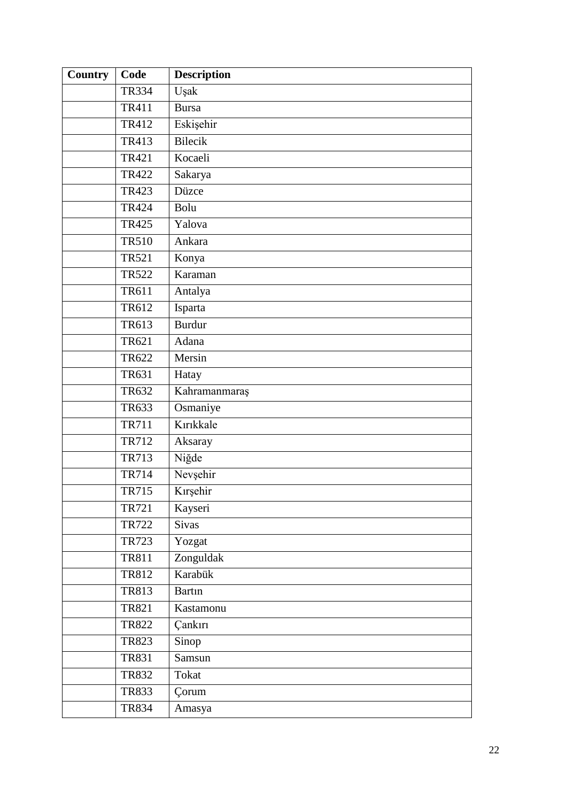| <b>Country</b> | Code         | <b>Description</b> |
|----------------|--------------|--------------------|
|                | <b>TR334</b> | Uşak               |
|                | <b>TR411</b> | <b>Bursa</b>       |
|                | TR412        | Eskişehir          |
|                | TR413        | <b>Bilecik</b>     |
|                | TR421        | Kocaeli            |
|                | TR422        | Sakarya            |
|                | TR423        | Düzce              |
|                | <b>TR424</b> | Bolu               |
|                | TR425        | Yalova             |
|                | <b>TR510</b> | Ankara             |
|                | <b>TR521</b> | Konya              |
|                | <b>TR522</b> | Karaman            |
|                | TR611        | Antalya            |
|                | TR612        | Isparta            |
|                | TR613        | <b>Burdur</b>      |
|                | TR621        | Adana              |
|                | TR622        | Mersin             |
|                | TR631        | Hatay              |
|                | TR632        | Kahramanmaraş      |
|                | TR633        | Osmaniye           |
|                | <b>TR711</b> | Kırıkkale          |
|                | TR712        | Aksaray            |
|                | <b>TR713</b> | Niğde              |
|                | <b>TR714</b> | Nevşehir           |
|                | <b>TR715</b> | Kırşehir           |
|                | TR721        | Kayseri            |
|                | <b>TR722</b> | Sivas              |
|                | TR723        | Yozgat             |
|                | TR811        | Zonguldak          |
|                | TR812        | Karabük            |
|                | TR813        | <b>Bartin</b>      |
|                | <b>TR821</b> | Kastamonu          |
|                | <b>TR822</b> | Çankırı            |
|                | <b>TR823</b> | Sinop              |
|                | <b>TR831</b> | Samsun             |
|                | <b>TR832</b> | Tokat              |
|                | <b>TR833</b> | Corum              |
|                | <b>TR834</b> | Amasya             |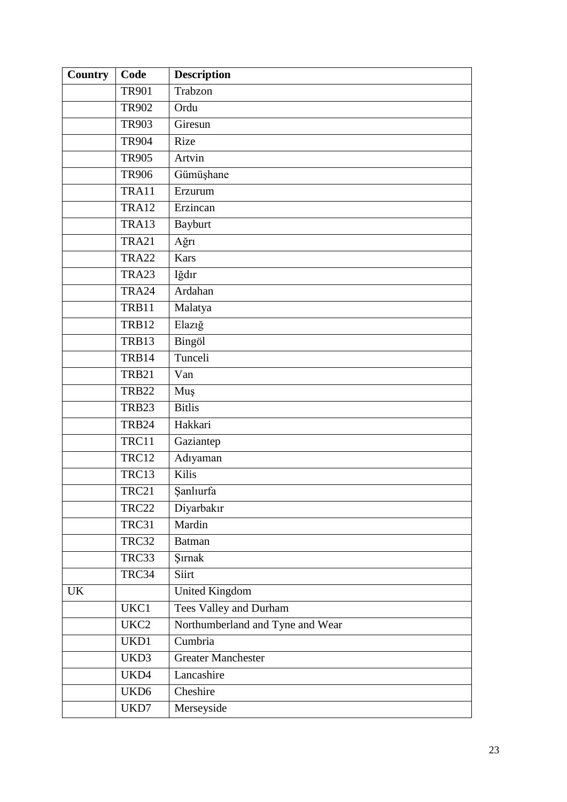| Country | Code             | <b>Description</b>               |
|---------|------------------|----------------------------------|
|         | <b>TR901</b>     | Trabzon                          |
|         | <b>TR902</b>     | Ordu                             |
|         | <b>TR903</b>     | Giresun                          |
|         | <b>TR904</b>     | Rize                             |
|         | <b>TR905</b>     | Artvin                           |
|         | <b>TR906</b>     | Gümüşhane                        |
|         | TRA11            | Erzurum                          |
|         | TRA12            | Erzincan                         |
|         | TRA13            | <b>Bayburt</b>                   |
|         | <b>TRA21</b>     | Ağrı                             |
|         | <b>TRA22</b>     | <b>Kars</b>                      |
|         | TRA23            | Iğdır                            |
|         | TRA24            | Ardahan                          |
|         | TRB11            | Malatya                          |
|         | <b>TRB12</b>     | Elazığ                           |
|         | TRB13            | Bingöl                           |
|         | TRB14            | Tunceli                          |
|         | <b>TRB21</b>     | Van                              |
|         | <b>TRB22</b>     | Muş                              |
|         | TRB23            | <b>Bitlis</b>                    |
|         | <b>TRB24</b>     | Hakkari                          |
|         | TRC11            | Gaziantep                        |
|         | <b>TRC12</b>     | Adıyaman                         |
|         | TRC13            | Kilis                            |
|         | TRC21            | Şanlıurfa                        |
|         | <b>TRC22</b>     | Diyarbakır                       |
|         | TRC31            | Mardin                           |
|         | TRC32            | <b>Batman</b>                    |
|         | TRC33            | Şırnak                           |
|         | TRC34            | Siirt                            |
| UK      |                  | <b>United Kingdom</b>            |
|         | UKC1             | <b>Tees Valley and Durham</b>    |
|         | UKC2             | Northumberland and Tyne and Wear |
|         | UKD1             | Cumbria                          |
|         | UKD3             | <b>Greater Manchester</b>        |
|         | UKD4             | Lancashire                       |
|         | UKD <sub>6</sub> | Cheshire                         |
|         | UKD7             | Merseyside                       |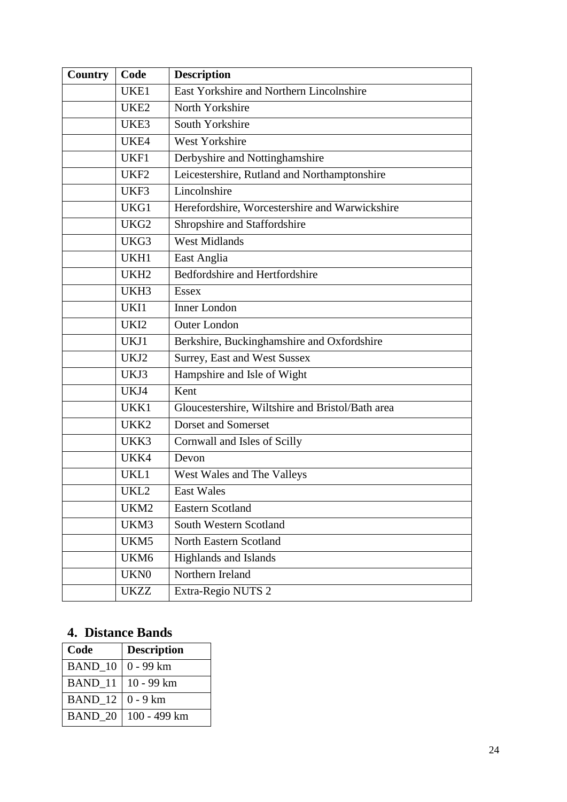| Country | Code             | <b>Description</b>                               |
|---------|------------------|--------------------------------------------------|
|         | UKE1             | East Yorkshire and Northern Lincolnshire         |
|         | UKE <sub>2</sub> | North Yorkshire                                  |
|         | UKE3             | South Yorkshire                                  |
|         | UKE4             | West Yorkshire                                   |
|         | UKF1             | Derbyshire and Nottinghamshire                   |
|         | UKF <sub>2</sub> | Leicestershire, Rutland and Northamptonshire     |
|         | UKF3             | Lincolnshire                                     |
|         | UKG1             | Herefordshire, Worcestershire and Warwickshire   |
|         | UKG <sub>2</sub> | Shropshire and Staffordshire                     |
|         | UKG3             | <b>West Midlands</b>                             |
|         | UKH1             | East Anglia                                      |
|         | UKH <sub>2</sub> | Bedfordshire and Hertfordshire                   |
|         | UKH3             | <b>Essex</b>                                     |
|         | UKI1             | <b>Inner London</b>                              |
|         | UKI2             | <b>Outer London</b>                              |
|         | UKJ1             | Berkshire, Buckinghamshire and Oxfordshire       |
|         | UKJ2             | Surrey, East and West Sussex                     |
|         | UKJ3             | Hampshire and Isle of Wight                      |
|         | UKJ4             | Kent                                             |
|         | UKK1             | Gloucestershire, Wiltshire and Bristol/Bath area |
|         | UKK <sub>2</sub> | <b>Dorset and Somerset</b>                       |
|         | UKK3             | Cornwall and Isles of Scilly                     |
|         | UKK4             | Devon                                            |
|         | UKL1             | West Wales and The Valleys                       |
|         | UKL2             | East Wales                                       |
|         | UKM2             | <b>Eastern Scotland</b>                          |
|         | UKM3             | South Western Scotland                           |
|         | UKM5             | North Eastern Scotland                           |
|         | UKM6             | Highlands and Islands                            |
|         | UKN <sub>0</sub> | Northern Ireland                                 |
|         | <b>UKZZ</b>      | Extra-Regio NUTS 2                               |

#### <span id="page-23-0"></span>**4. Distance Bands**

| Code    | <b>Description</b> |
|---------|--------------------|
| BAND_10 | $0 - 99 km$        |
| BAND 11 | 10 - 99 km         |
| BAND 12 | $0 - 9$ km         |
| BAND 20 | 100 - 499 km       |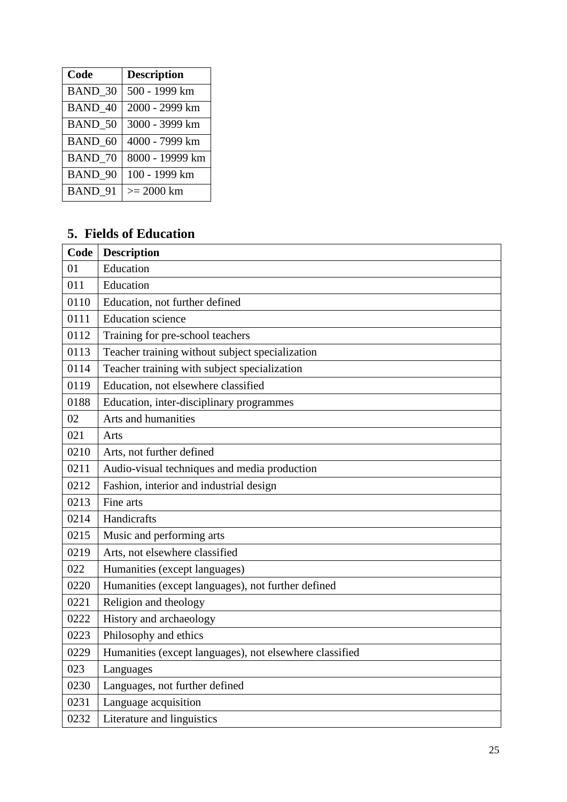| Code           | <b>Description</b> |
|----------------|--------------------|
| <b>BAND 30</b> | 500 - 1999 km      |
| <b>BAND 40</b> | 2000 - 2999 km     |
| <b>BAND 50</b> | 3000 - 3999 km     |
| BAND 60        | 4000 - 7999 km     |
| <b>BAND 70</b> | 8000 - 19999 km    |
| <b>BAND 90</b> | 100 - 1999 km      |
| BAND 91        | $>= 2000$ km       |

#### <span id="page-24-0"></span>**5. Fields of Education**

| Code | <b>Description</b>                                      |
|------|---------------------------------------------------------|
| 01   | Education                                               |
| 011  | Education                                               |
| 0110 | Education, not further defined                          |
| 0111 | <b>Education</b> science                                |
| 0112 | Training for pre-school teachers                        |
| 0113 | Teacher training without subject specialization         |
| 0114 | Teacher training with subject specialization            |
| 0119 | Education, not elsewhere classified                     |
| 0188 | Education, inter-disciplinary programmes                |
| 02   | Arts and humanities                                     |
| 021  | Arts                                                    |
| 0210 | Arts, not further defined                               |
| 0211 | Audio-visual techniques and media production            |
| 0212 | Fashion, interior and industrial design                 |
| 0213 | Fine arts                                               |
| 0214 | Handicrafts                                             |
| 0215 | Music and performing arts                               |
| 0219 | Arts, not elsewhere classified                          |
| 022  | Humanities (except languages)                           |
| 0220 | Humanities (except languages), not further defined      |
| 0221 | Religion and theology                                   |
| 0222 | History and archaeology                                 |
| 0223 | Philosophy and ethics                                   |
| 0229 | Humanities (except languages), not elsewhere classified |
| 023  | Languages                                               |
| 0230 | Languages, not further defined                          |
| 0231 | Language acquisition                                    |
| 0232 | Literature and linguistics                              |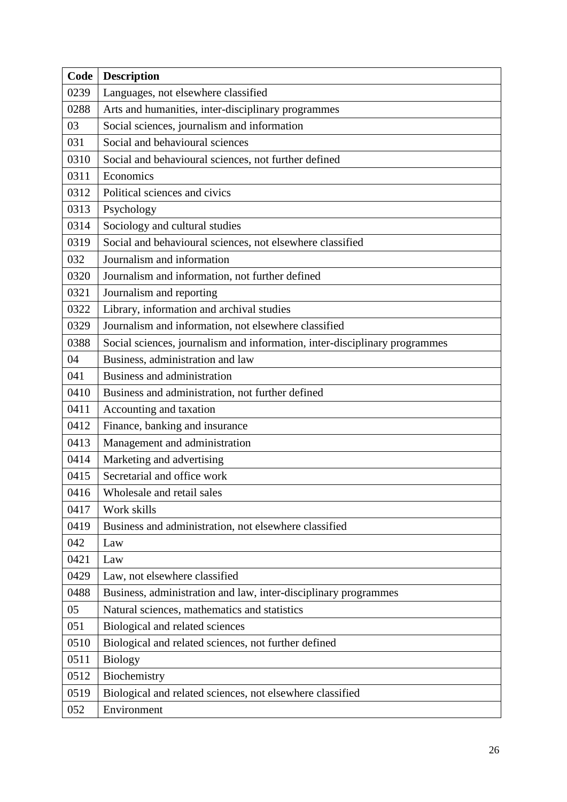| Code | <b>Description</b>                                                         |
|------|----------------------------------------------------------------------------|
| 0239 | Languages, not elsewhere classified                                        |
| 0288 | Arts and humanities, inter-disciplinary programmes                         |
| 03   | Social sciences, journalism and information                                |
| 031  | Social and behavioural sciences                                            |
| 0310 | Social and behavioural sciences, not further defined                       |
| 0311 | Economics                                                                  |
| 0312 | Political sciences and civics                                              |
| 0313 | Psychology                                                                 |
| 0314 | Sociology and cultural studies                                             |
| 0319 | Social and behavioural sciences, not elsewhere classified                  |
| 032  | Journalism and information                                                 |
| 0320 | Journalism and information, not further defined                            |
| 0321 | Journalism and reporting                                                   |
| 0322 | Library, information and archival studies                                  |
| 0329 | Journalism and information, not elsewhere classified                       |
| 0388 | Social sciences, journalism and information, inter-disciplinary programmes |
| 04   | Business, administration and law                                           |
| 041  | Business and administration                                                |
| 0410 | Business and administration, not further defined                           |
| 0411 | Accounting and taxation                                                    |
| 0412 | Finance, banking and insurance                                             |
| 0413 | Management and administration                                              |
| 0414 | Marketing and advertising                                                  |
| 0415 | Secretarial and office work                                                |
| 0416 | Wholesale and retail sales                                                 |
| 0417 | Work skills                                                                |
| 0419 | Business and administration, not elsewhere classified                      |
| 042  | Law                                                                        |
| 0421 | Law                                                                        |
| 0429 | Law, not elsewhere classified                                              |
| 0488 | Business, administration and law, inter-disciplinary programmes            |
| 05   | Natural sciences, mathematics and statistics                               |
| 051  | Biological and related sciences                                            |
| 0510 | Biological and related sciences, not further defined                       |
| 0511 | <b>Biology</b>                                                             |
| 0512 | Biochemistry                                                               |
| 0519 | Biological and related sciences, not elsewhere classified                  |
| 052  | Environment                                                                |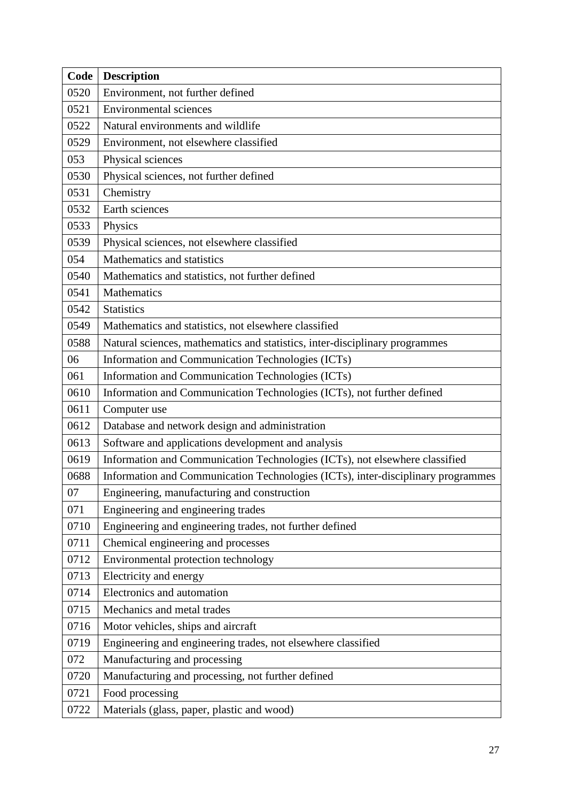| Code | <b>Description</b>                                                               |
|------|----------------------------------------------------------------------------------|
| 0520 | Environment, not further defined                                                 |
| 0521 | <b>Environmental sciences</b>                                                    |
| 0522 | Natural environments and wildlife                                                |
| 0529 | Environment, not elsewhere classified                                            |
| 053  | Physical sciences                                                                |
| 0530 | Physical sciences, not further defined                                           |
| 0531 | Chemistry                                                                        |
| 0532 | Earth sciences                                                                   |
| 0533 | Physics                                                                          |
| 0539 | Physical sciences, not elsewhere classified                                      |
| 054  | Mathematics and statistics                                                       |
| 0540 | Mathematics and statistics, not further defined                                  |
| 0541 | Mathematics                                                                      |
| 0542 | <b>Statistics</b>                                                                |
| 0549 | Mathematics and statistics, not elsewhere classified                             |
| 0588 | Natural sciences, mathematics and statistics, inter-disciplinary programmes      |
| 06   | Information and Communication Technologies (ICTs)                                |
| 061  | Information and Communication Technologies (ICTs)                                |
| 0610 | Information and Communication Technologies (ICTs), not further defined           |
| 0611 | Computer use                                                                     |
| 0612 | Database and network design and administration                                   |
| 0613 | Software and applications development and analysis                               |
| 0619 | Information and Communication Technologies (ICTs), not elsewhere classified      |
| 0688 | Information and Communication Technologies (ICTs), inter-disciplinary programmes |
| 07   | Engineering, manufacturing and construction                                      |
| 071  | Engineering and engineering trades                                               |
| 0710 | Engineering and engineering trades, not further defined                          |
| 0711 | Chemical engineering and processes                                               |
| 0712 | Environmental protection technology                                              |
| 0713 | Electricity and energy                                                           |
| 0714 | Electronics and automation                                                       |
| 0715 | Mechanics and metal trades                                                       |
| 0716 | Motor vehicles, ships and aircraft                                               |
| 0719 | Engineering and engineering trades, not elsewhere classified                     |
| 072  | Manufacturing and processing                                                     |
| 0720 | Manufacturing and processing, not further defined                                |
| 0721 | Food processing                                                                  |
| 0722 | Materials (glass, paper, plastic and wood)                                       |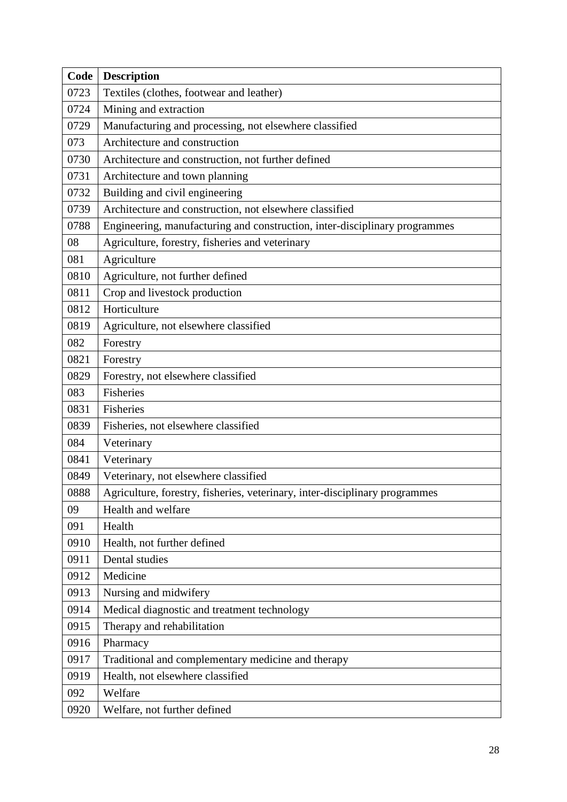| Code | <b>Description</b>                                                          |
|------|-----------------------------------------------------------------------------|
| 0723 | Textiles (clothes, footwear and leather)                                    |
| 0724 | Mining and extraction                                                       |
| 0729 | Manufacturing and processing, not elsewhere classified                      |
| 073  | Architecture and construction                                               |
| 0730 | Architecture and construction, not further defined                          |
| 0731 | Architecture and town planning                                              |
| 0732 | Building and civil engineering                                              |
| 0739 | Architecture and construction, not elsewhere classified                     |
| 0788 | Engineering, manufacturing and construction, inter-disciplinary programmes  |
| 08   | Agriculture, forestry, fisheries and veterinary                             |
| 081  | Agriculture                                                                 |
| 0810 | Agriculture, not further defined                                            |
| 0811 | Crop and livestock production                                               |
| 0812 | Horticulture                                                                |
| 0819 | Agriculture, not elsewhere classified                                       |
| 082  | Forestry                                                                    |
| 0821 | Forestry                                                                    |
| 0829 | Forestry, not elsewhere classified                                          |
| 083  | Fisheries                                                                   |
| 0831 | Fisheries                                                                   |
| 0839 | Fisheries, not elsewhere classified                                         |
| 084  | Veterinary                                                                  |
| 0841 | Veterinary                                                                  |
| 0849 | Veterinary, not elsewhere classified                                        |
| 0888 | Agriculture, forestry, fisheries, veterinary, inter-disciplinary programmes |
| 09   | Health and welfare                                                          |
| 091  | Health                                                                      |
| 0910 | Health, not further defined                                                 |
| 0911 | Dental studies                                                              |
| 0912 | Medicine                                                                    |
| 0913 | Nursing and midwifery                                                       |
| 0914 | Medical diagnostic and treatment technology                                 |
| 0915 | Therapy and rehabilitation                                                  |
| 0916 | Pharmacy                                                                    |
| 0917 | Traditional and complementary medicine and therapy                          |
| 0919 | Health, not elsewhere classified                                            |
| 092  | Welfare                                                                     |
| 0920 | Welfare, not further defined                                                |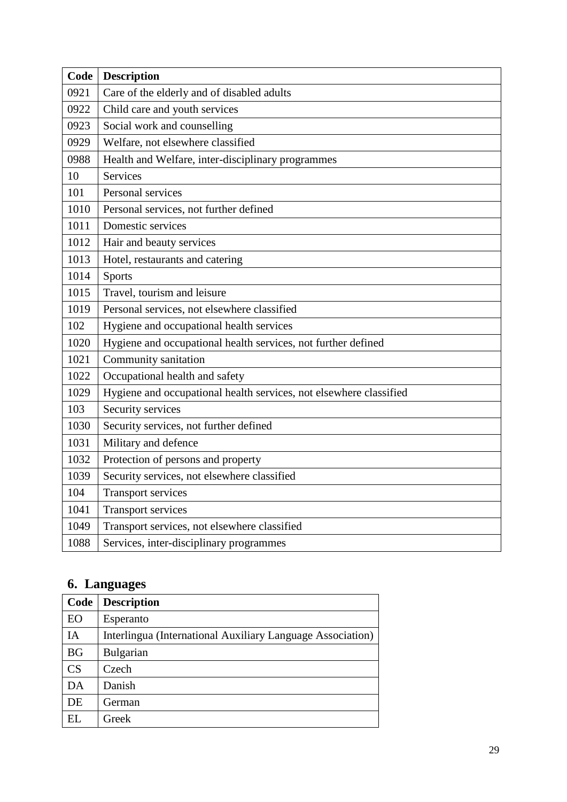| Code | <b>Description</b>                                                 |
|------|--------------------------------------------------------------------|
| 0921 | Care of the elderly and of disabled adults                         |
| 0922 | Child care and youth services                                      |
| 0923 | Social work and counselling                                        |
| 0929 | Welfare, not elsewhere classified                                  |
| 0988 | Health and Welfare, inter-disciplinary programmes                  |
| 10   | <b>Services</b>                                                    |
| 101  | Personal services                                                  |
| 1010 | Personal services, not further defined                             |
| 1011 | Domestic services                                                  |
| 1012 | Hair and beauty services                                           |
| 1013 | Hotel, restaurants and catering                                    |
| 1014 | <b>Sports</b>                                                      |
| 1015 | Travel, tourism and leisure                                        |
| 1019 | Personal services, not elsewhere classified                        |
| 102  | Hygiene and occupational health services                           |
| 1020 | Hygiene and occupational health services, not further defined      |
| 1021 | Community sanitation                                               |
| 1022 | Occupational health and safety                                     |
| 1029 | Hygiene and occupational health services, not elsewhere classified |
| 103  | Security services                                                  |
| 1030 | Security services, not further defined                             |
| 1031 | Military and defence                                               |
| 1032 | Protection of persons and property                                 |
| 1039 | Security services, not elsewhere classified                        |
| 104  | <b>Transport services</b>                                          |
| 1041 | <b>Transport services</b>                                          |
| 1049 | Transport services, not elsewhere classified                       |
| 1088 | Services, inter-disciplinary programmes                            |

# <span id="page-28-0"></span>**6. Languages**

| Code      | <b>Description</b>                                         |
|-----------|------------------------------------------------------------|
| EO        | Esperanto                                                  |
| IA        | Interlingua (International Auxiliary Language Association) |
| <b>BG</b> | <b>Bulgarian</b>                                           |
| CS        | Czech                                                      |
| DA        | Danish                                                     |
| DE        | German                                                     |
| EL        | Greek                                                      |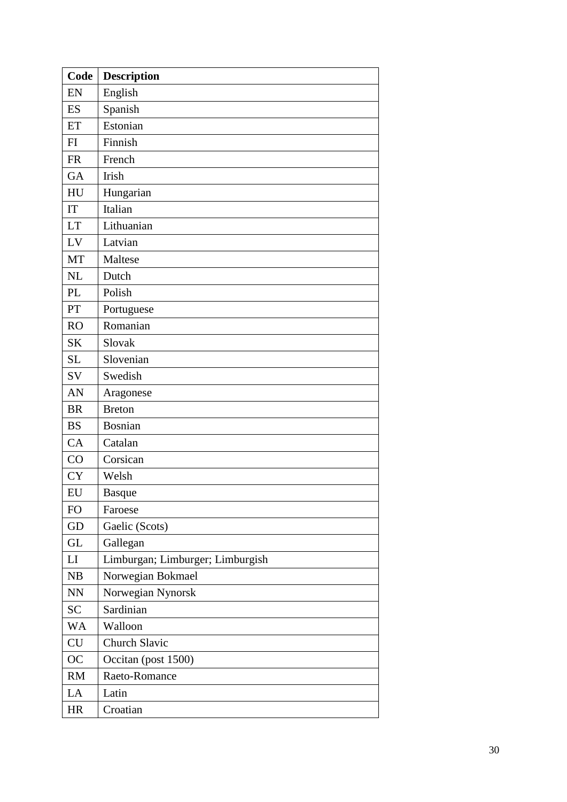| Code                   | <b>Description</b>               |
|------------------------|----------------------------------|
| EN                     | English                          |
| ES                     | Spanish                          |
| ET                     | Estonian                         |
| FI                     | Finnish                          |
| <b>FR</b>              | French                           |
| GA                     | Irish                            |
| HU                     | Hungarian                        |
| IT                     | Italian                          |
| LT                     | Lithuanian                       |
| LV                     | Latvian                          |
| MT                     | Maltese                          |
| <b>NL</b>              | Dutch                            |
| PL                     | Polish                           |
| PT                     | Portuguese                       |
| <b>RO</b>              | Romanian                         |
| <b>SK</b>              | Slovak                           |
| SL                     | Slovenian                        |
| SV                     | Swedish                          |
| AN                     | Aragonese                        |
| <b>BR</b>              | <b>Breton</b>                    |
| <b>BS</b>              | <b>Bosnian</b>                   |
| CA                     | Catalan                          |
| CO                     | Corsican                         |
| <b>CY</b>              | Welsh                            |
| EU                     | <b>Basque</b>                    |
| FO                     | Faroese                          |
| GD                     | Gaelic (Scots)                   |
| <b>GL</b>              | Gallegan                         |
| LI                     | Limburgan; Limburger; Limburgish |
| NB                     | Norwegian Bokmael                |
| $\mathbf{N}\mathbf{N}$ | Norwegian Nynorsk                |
| <b>SC</b>              | Sardinian                        |
| WA                     | Walloon                          |
| CU                     | <b>Church Slavic</b>             |
| OC                     | Occitan (post 1500)              |
| RM                     | Raeto-Romance                    |
| LA                     | Latin                            |
| HR                     | Croatian                         |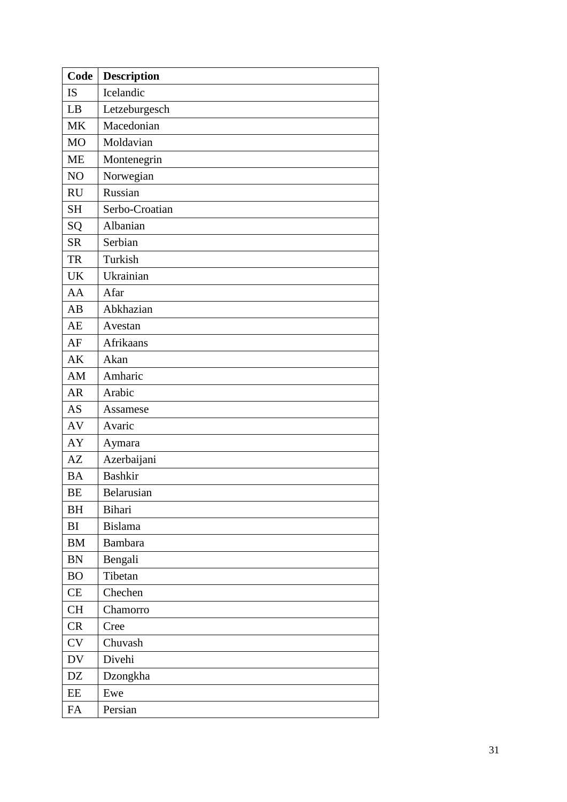| Code      | <b>Description</b> |
|-----------|--------------------|
| <b>IS</b> | Icelandic          |
| LB        | Letzeburgesch      |
| <b>MK</b> | Macedonian         |
| <b>MO</b> | Moldavian          |
| <b>ME</b> | Montenegrin        |
| NO        | Norwegian          |
| <b>RU</b> | Russian            |
| <b>SH</b> | Serbo-Croatian     |
| SQ        | Albanian           |
| <b>SR</b> | Serbian            |
| <b>TR</b> | Turkish            |
| <b>UK</b> | Ukrainian          |
| AA        | Afar               |
| AB        | Abkhazian          |
| AE        | Avestan            |
| AF        | Afrikaans          |
| AK        | Akan               |
| AM        | Amharic            |
| <b>AR</b> | Arabic             |
| <b>AS</b> | Assamese           |
| AV        | Avaric             |
| AY        | Aymara             |
| AZ        | Azerbaijani        |
| <b>BA</b> | <b>Bashkir</b>     |
| <b>BE</b> | Belarusian         |
| BH        | Bihari             |
| BI        | <b>Bislama</b>     |
| <b>BM</b> | <b>Bambara</b>     |
| <b>BN</b> | Bengali            |
| <b>BO</b> | Tibetan            |
| CE        | Chechen            |
| <b>CH</b> | Chamorro           |
| <b>CR</b> | Cree               |
| <b>CV</b> | Chuvash            |
| DV        | Divehi             |
| DZ        | Dzongkha           |
| EE        | Ewe                |
| FA        | Persian            |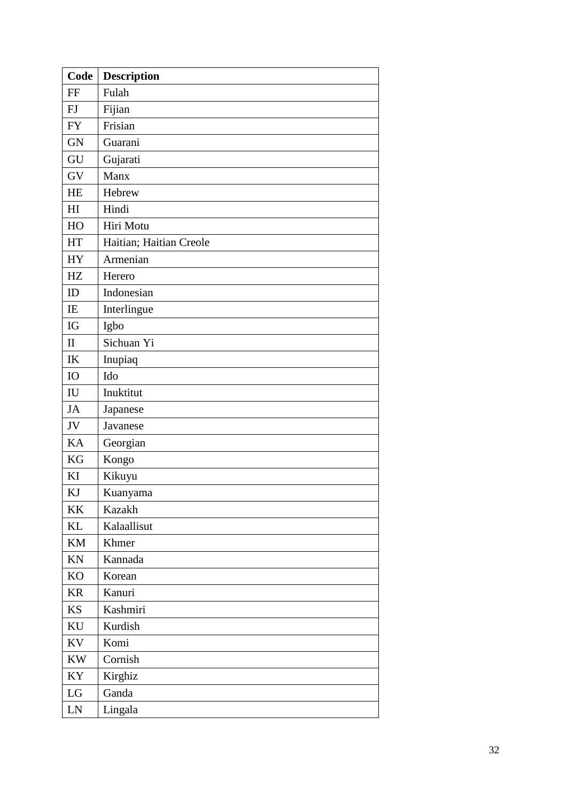| Code                       | <b>Description</b>      |
|----------------------------|-------------------------|
| FF                         | Fulah                   |
| FJ                         | Fijian                  |
| <b>FY</b>                  | Frisian                 |
| <b>GN</b>                  | Guarani                 |
| GU                         | Gujarati                |
| GV                         | Manx                    |
| <b>HE</b>                  | Hebrew                  |
| H <sub>I</sub>             | Hindi                   |
| HO                         | Hiri Motu               |
| <b>HT</b>                  | Haitian; Haitian Creole |
| <b>HY</b>                  | Armenian                |
| HZ                         | Herero                  |
| ID                         | Indonesian              |
| IE                         | Interlingue             |
| IG                         | Igbo                    |
| $\mathbf{I}$               | Sichuan Yi              |
| IK                         | Inupiaq                 |
| <b>IO</b>                  | Ido                     |
| $\mathop{\rm IU}\nolimits$ | Inuktitut               |
| <b>JA</b>                  | Japanese                |
| JV                         | Javanese                |
| KA                         | Georgian                |
| <b>KG</b>                  | Kongo                   |
| KI                         | Kikuyu                  |
| KJ                         | Kuanyama                |
| KK                         | Kazakh                  |
| KL                         | Kalaallisut             |
| KM                         | Khmer                   |
| KN                         | Kannada                 |
| KO                         | Korean                  |
| <b>KR</b>                  | Kanuri                  |
| <b>KS</b>                  | Kashmiri                |
| KU                         | Kurdish                 |
| KV                         | Komi                    |
| <b>KW</b>                  | Cornish                 |
| KY                         | Kirghiz                 |
| ${\rm LG}$                 | Ganda                   |
| LN                         | Lingala                 |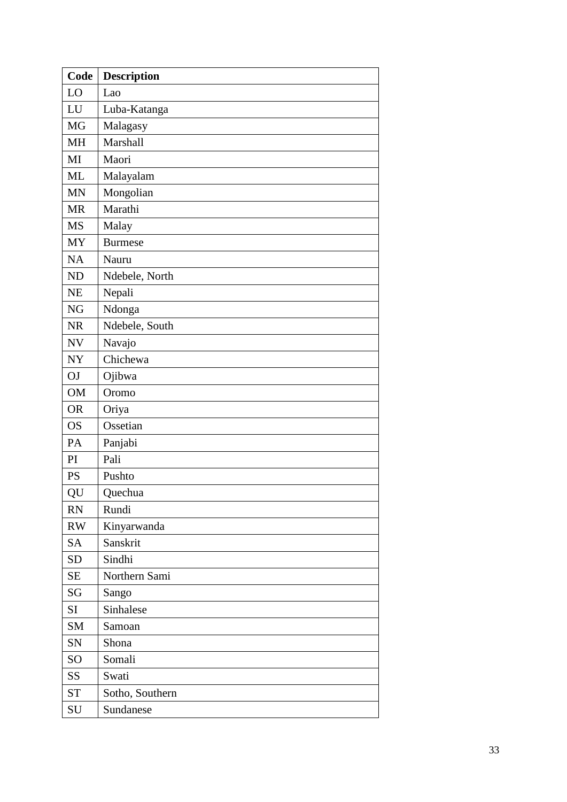| Code                | <b>Description</b> |
|---------------------|--------------------|
| LO                  | Lao                |
| LU                  | Luba-Katanga       |
| <b>MG</b>           | Malagasy           |
| <b>MH</b>           | Marshall           |
| MI                  | Maori              |
| <b>ML</b>           | Malayalam          |
| <b>MN</b>           | Mongolian          |
| <b>MR</b>           | Marathi            |
| <b>MS</b>           | Malay              |
| <b>MY</b>           | <b>Burmese</b>     |
| NA                  | Nauru              |
| <b>ND</b>           | Ndebele, North     |
| NE                  | Nepali             |
| <b>NG</b>           | Ndonga             |
| <b>NR</b>           | Ndebele, South     |
| <b>NV</b>           | Navajo             |
| <b>NY</b>           | Chichewa           |
| OJ                  | Ojibwa             |
| <b>OM</b>           | Oromo              |
| <b>OR</b>           | Oriya              |
| <b>OS</b>           | Ossetian           |
| PA                  | Panjabi            |
| PI                  | Pali               |
| <b>PS</b>           | Pushto             |
| QU                  | Quechua            |
| RN                  | Rundi              |
| RW                  | Kinyarwanda        |
| <b>SA</b>           | Sanskrit           |
| <b>SD</b>           | Sindhi             |
| <b>SE</b>           | Northern Sami      |
| SG                  | Sango              |
| SI                  | Sinhalese          |
| SM                  | Samoan             |
| SN                  | Shona              |
| $\rm SO$            | Somali             |
| SS                  | Swati              |
| $\operatorname{ST}$ | Sotho, Southern    |
| SU                  | Sundanese          |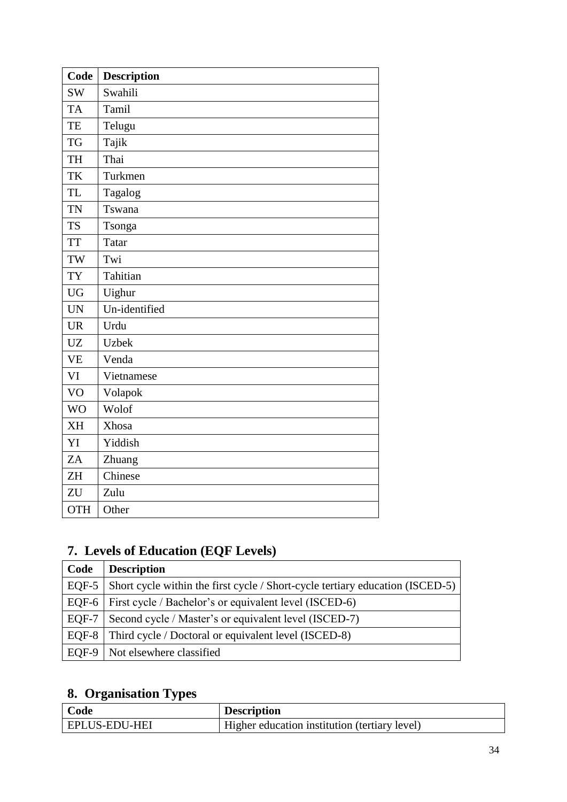| Code       | <b>Description</b> |
|------------|--------------------|
| <b>SW</b>  | Swahili            |
| <b>TA</b>  | Tamil              |
| TE         | Telugu             |
| <b>TG</b>  | Tajik              |
| <b>TH</b>  | Thai               |
| TK         | Turkmen            |
| <b>TL</b>  | Tagalog            |
| <b>TN</b>  | Tswana             |
| <b>TS</b>  | Tsonga             |
| <b>TT</b>  | <b>Tatar</b>       |
| TW         | Twi                |
| <b>TY</b>  | Tahitian           |
| <b>UG</b>  | Uighur             |
| <b>UN</b>  | Un-identified      |
| <b>UR</b>  | Urdu               |
| <b>UZ</b>  | <b>Uzbek</b>       |
| <b>VE</b>  | Venda              |
| VI         | Vietnamese         |
| VO         | Volapok            |
| <b>WO</b>  | Wolof              |
| <b>XH</b>  | Xhosa              |
| YI         | Yiddish            |
| ZA         | Zhuang             |
| <b>ZH</b>  | Chinese            |
| ZU         | Zulu               |
| <b>OTH</b> | Other              |

# <span id="page-33-0"></span>**7. Levels of Education (EQF Levels)**

| Code          | <b>Description</b>                                                            |
|---------------|-------------------------------------------------------------------------------|
| $EOF-5$       | Short cycle within the first cycle / Short-cycle tertiary education (ISCED-5) |
| EQF-6 $\vert$ | First cycle / Bachelor's or equivalent level (ISCED-6)                        |
| EQF-7         | Second cycle / Master's or equivalent level (ISCED-7)                         |
| EQF-8         | Third cycle / Doctoral or equivalent level (ISCED-8)                          |
| EQF-9         | Not elsewhere classified                                                      |

# <span id="page-33-1"></span>**8. Organisation Types**

| Code          | <b>Description</b>                            |
|---------------|-----------------------------------------------|
| EPLUS-EDU-HEI | Higher education institution (tertiary level) |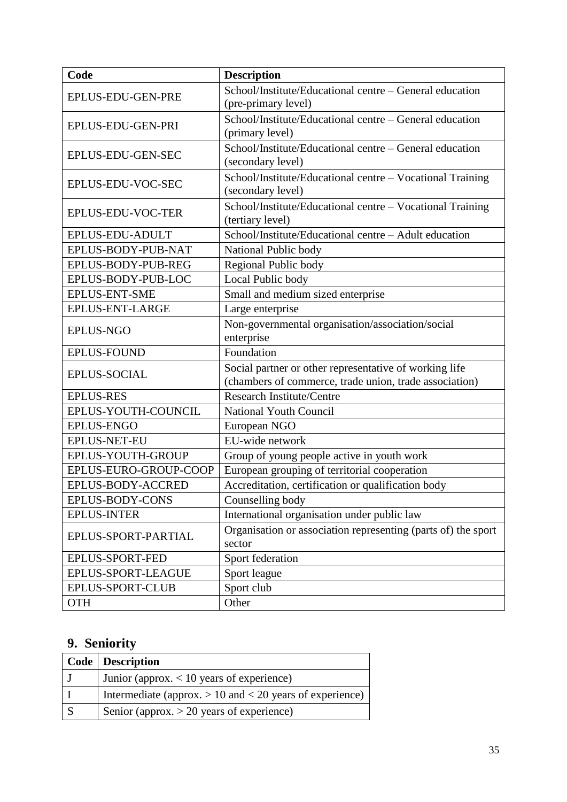| Code                   | <b>Description</b>                                                                                               |
|------------------------|------------------------------------------------------------------------------------------------------------------|
| EPLUS-EDU-GEN-PRE      | School/Institute/Educational centre – General education<br>(pre-primary level)                                   |
| EPLUS-EDU-GEN-PRI      | School/Institute/Educational centre – General education<br>(primary level)                                       |
| EPLUS-EDU-GEN-SEC      | School/Institute/Educational centre – General education<br>(secondary level)                                     |
| EPLUS-EDU-VOC-SEC      | School/Institute/Educational centre – Vocational Training<br>(secondary level)                                   |
| EPLUS-EDU-VOC-TER      | School/Institute/Educational centre – Vocational Training<br>(tertiary level)                                    |
| EPLUS-EDU-ADULT        | School/Institute/Educational centre - Adult education                                                            |
| EPLUS-BODY-PUB-NAT     | National Public body                                                                                             |
| EPLUS-BODY-PUB-REG     | Regional Public body                                                                                             |
| EPLUS-BODY-PUB-LOC     | Local Public body                                                                                                |
| <b>EPLUS-ENT-SME</b>   | Small and medium sized enterprise                                                                                |
| EPLUS-ENT-LARGE        | Large enterprise                                                                                                 |
| <b>EPLUS-NGO</b>       | Non-governmental organisation/association/social<br>enterprise                                                   |
| <b>EPLUS-FOUND</b>     | Foundation                                                                                                       |
| <b>EPLUS-SOCIAL</b>    | Social partner or other representative of working life<br>(chambers of commerce, trade union, trade association) |
| <b>EPLUS-RES</b>       | <b>Research Institute/Centre</b>                                                                                 |
| EPLUS-YOUTH-COUNCIL    | <b>National Youth Council</b>                                                                                    |
| <b>EPLUS-ENGO</b>      | European NGO                                                                                                     |
| <b>EPLUS-NET-EU</b>    | EU-wide network                                                                                                  |
| EPLUS-YOUTH-GROUP      | Group of young people active in youth work                                                                       |
| EPLUS-EURO-GROUP-COOP  | European grouping of territorial cooperation                                                                     |
| EPLUS-BODY-ACCRED      | Accreditation, certification or qualification body                                                               |
| EPLUS-BODY-CONS        | Counselling body                                                                                                 |
| <b>EPLUS-INTER</b>     | International organisation under public law                                                                      |
| EPLUS-SPORT-PARTIAL    | Organisation or association representing (parts of) the sport<br>sector                                          |
| <b>EPLUS-SPORT-FED</b> | Sport federation                                                                                                 |
| EPLUS-SPORT-LEAGUE     | Sport league                                                                                                     |
| EPLUS-SPORT-CLUB       | Sport club                                                                                                       |
| <b>OTH</b>             | Other                                                                                                            |

# <span id="page-34-0"></span>**9. Seniority**

| <b>Code</b> Description                                      |
|--------------------------------------------------------------|
| Junior (approx. $< 10$ years of experience)                  |
| Intermediate (approx. $> 10$ and $< 20$ years of experience) |
| Senior (approx. $> 20$ years of experience)                  |